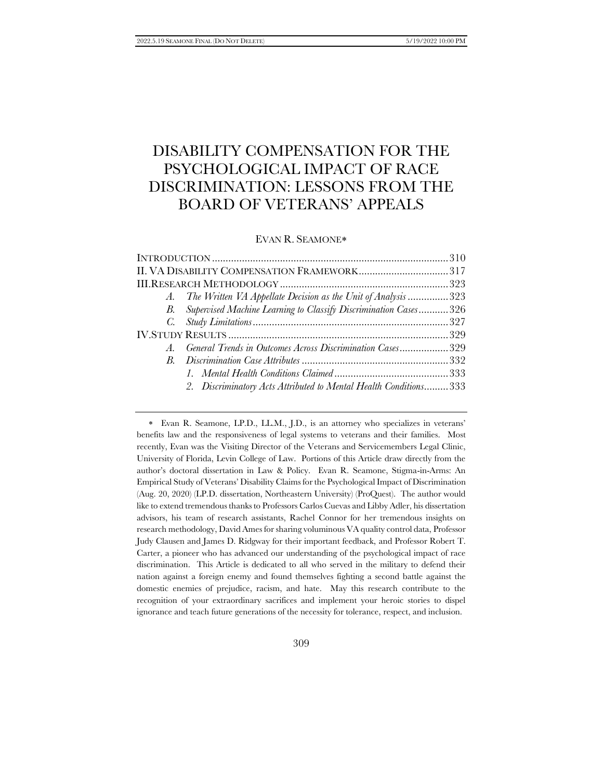# DISABILITY COMPENSATION FOR THE PSYCHOLOGICAL IMPACT OF RACE DISCRIMINATION: LESSONS FROM THE BOARD OF VETERANS' APPEALS

<span id="page-0-0"></span>EVAN R. SEAMONE

| A. The Written VA Appellate Decision as the Unit of Analysis323     |
|---------------------------------------------------------------------|
| B. Supervised Machine Learning to Classify Discrimination Cases 326 |
|                                                                     |
|                                                                     |
| A. General Trends in Outcomes Across Discrimination Cases329        |
|                                                                     |
|                                                                     |
| 2. Discriminatory Acts Attributed to Mental Health Conditions 333   |
|                                                                     |

 Evan R. Seamone, LP.D., LL.M., J.D., is an attorney who specializes in veterans' benefits law and the responsiveness of legal systems to veterans and their families. Most recently, Evan was the Visiting Director of the Veterans and Servicemembers Legal Clinic, University of Florida, Levin College of Law. Portions of this Article draw directly from the author's doctoral dissertation in Law & Policy. Evan R. Seamone, Stigma-in-Arms: An Empirical Study of Veterans' Disability Claims for the Psychological Impact of Discrimination (Aug. 20, 2020) (LP.D. dissertation, Northeastern University) (ProQuest). The author would like to extend tremendous thanks to Professors Carlos Cuevas and Libby Adler, his dissertation advisors, his team of research assistants, Rachel Connor for her tremendous insights on research methodology, David Ames for sharing voluminous VA quality control data, Professor Judy Clausen and James D. Ridgway for their important feedback, and Professor Robert T. Carter, a pioneer who has advanced our understanding of the psychological impact of race discrimination. This Article is dedicated to all who served in the military to defend their nation against a foreign enemy and found themselves fighting a second battle against the domestic enemies of prejudice, racism, and hate. May this research contribute to the recognition of your extraordinary sacrifices and implement your heroic stories to dispel ignorance and teach future generations of the necessity for tolerance, respect, and inclusion.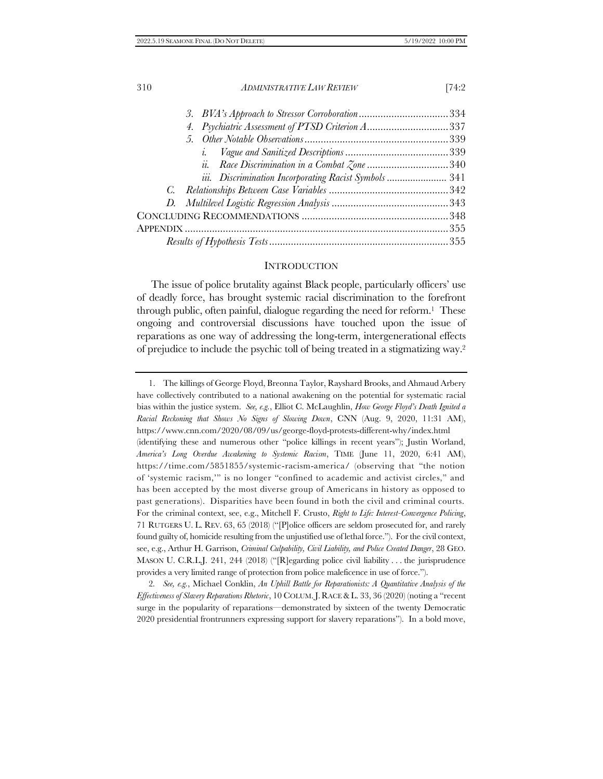| 4. Psychiatric Assessment of PTSD Criterion A337      |  |
|-------------------------------------------------------|--|
|                                                       |  |
| $\iota$                                               |  |
|                                                       |  |
| iii. Discrimination Incorporating Racist Symbols  341 |  |
|                                                       |  |
|                                                       |  |
|                                                       |  |
|                                                       |  |
|                                                       |  |
|                                                       |  |

#### **INTRODUCTION**

The issue of police brutality against Black people, particularly officers' use of deadly force, has brought systemic racial discrimination to the forefront through public, often painful, dialogue regarding the need for reform.<sup>1</sup> These ongoing and controversial discussions have touched upon the issue of reparations as one way of addressing the long-term, intergenerational effects of prejudice to include the psychic toll of being treated in a stigmatizing way.<sup>2</sup>

2*. See, e.g.*, Michael Conklin, *An Uphill Battle for Reparationists: A Quantitative Analysis of the Effectiveness of Slavery Reparations Rhetoric*, 10 COLUM.J.RACE &L. 33, 36 (2020) (noting a "recent surge in the popularity of reparations—demonstrated by sixteen of the twenty Democratic 2020 presidential frontrunners expressing support for slavery reparations"). In a bold move,

<sup>1.</sup> The killings of George Floyd, Breonna Taylor, Rayshard Brooks, and Ahmaud Arbery have collectively contributed to a national awakening on the potential for systematic racial bias within the justice system. *See, e.g.*, Elliot C. McLaughlin, *How George Floyd's Death Ignited a Racial Reckoning that Shows No Signs of Slowing Down*, CNN (Aug. 9, 2020, 11:31 AM), https://www.cnn.com/2020/08/09/us/george-floyd-protests-different-why/index.html (identifying these and numerous other "police killings in recent years"); Justin Worland, *America's Long Overdue Awakening to Systemic Racism*, TIME (June 11, 2020, 6:41 AM), https://time.com/5851855/systemic-racism-america/ (observing that "the notion of 'systemic racism,'" is no longer "confined to academic and activist circles," and has been accepted by the most diverse group of Americans in history as opposed to past generations). Disparities have been found in both the civil and criminal courts. For the criminal context, see, e.g., Mitchell F. Crusto, *Right to Life: Interest-Convergence Policing*, 71 RUTGERS U. L. REV. 63, 65 (2018) ("[P]olice officers are seldom prosecuted for, and rarely found guilty of, homicide resulting from the unjustified use of lethal force."). For the civil context, see, e.g., Arthur H. Garrison, *Criminal Culpability, Civil Liability, and Police Created Danger*, 28 GEO. MASON U. C.R.L.J. 241, 244 (2018) ("[R]egarding police civil liability . . . the jurisprudence provides a very limited range of protection from police maleficence in use of force.").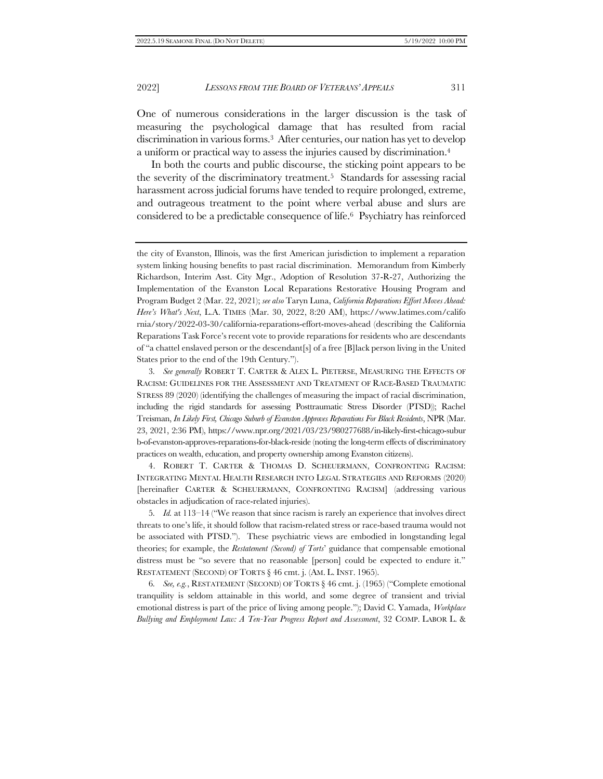<span id="page-2-2"></span>One of numerous considerations in the larger discussion is the task of measuring the psychological damage that has resulted from racial discrimination in various forms. <sup>3</sup> After centuries, our nation has yet to develop a uniform or practical way to assess the injuries caused by discrimination.<sup>4</sup>

<span id="page-2-0"></span>In both the courts and public discourse, the sticking point appears to be the severity of the discriminatory treatment.5 Standards for assessing racial harassment across judicial forums have tended to require prolonged, extreme, and outrageous treatment to the point where verbal abuse and slurs are considered to be a predictable consequence of life.6 Psychiatry has reinforced

4. ROBERT T. CARTER & THOMAS D. SCHEUERMANN, CONFRONTING RACISM: INTEGRATING MENTAL HEALTH RESEARCH INTO LEGAL STRATEGIES AND REFORMS (2020) [hereinafter CARTER & SCHEUERMANN, CONFRONTING RACISM] (addressing various obstacles in adjudication of race-related injuries).

5*. Id.* at 113–14 ("We reason that since racism is rarely an experience that involves direct threats to one's life, it should follow that racism-related stress or race-based trauma would not be associated with PTSD."). These psychiatric views are embodied in longstanding legal theories; for example, the *Restatement (Second) of Torts*' guidance that compensable emotional distress must be "so severe that no reasonable [person] could be expected to endure it." RESTATEMENT (SECOND) OF TORTS § 46 cmt. j. (AM. L. INST. 1965).

6*. See, e.g.*, RESTATEMENT (SECOND) OF TORTS § 46 cmt. j. (1965) ("Complete emotional tranquility is seldom attainable in this world, and some degree of transient and trivial emotional distress is part of the price of living among people."); David C. Yamada, *Workplace Bullying and Employment Law: A Ten-Year Progress Report and Assessment*, 32 COMP. LABOR L. &

<span id="page-2-1"></span>the city of Evanston, Illinois, was the first American jurisdiction to implement a reparation system linking housing benefits to past racial discrimination. Memorandum from Kimberly Richardson, Interim Asst. City Mgr., Adoption of Resolution 37-R-27, Authorizing the Implementation of the Evanston Local Reparations Restorative Housing Program and Program Budget 2 (Mar. 22, 2021); *see also* Taryn Luna, *California Reparations Effort Moves Ahead: Here's What's Next*, L.A. TIMES (Mar. 30, 2022, 8:20 AM), https://www.latimes.com/califo rnia/story/2022-03-30/california-reparations-effort-moves-ahead (describing the California Reparations Task Force's recent vote to provide reparations for residents who are descendants of "a chattel enslaved person or the descendant[s] of a free [B]lack person living in the United States prior to the end of the 19th Century.").

<sup>3</sup>*. See generally* ROBERT T. CARTER & ALEX L. PIETERSE, MEASURING THE EFFECTS OF RACISM: GUIDELINES FOR THE ASSESSMENT AND TREATMENT OF RACE-BASED TRAUMATIC STRESS 89 (2020) (identifying the challenges of measuring the impact of racial discrimination, including the rigid standards for assessing Posttraumatic Stress Disorder (PTSD)); Rachel Treisman, *In Likely First, Chicago Suburb of Evanston Approves Reparations For Black Residents*, NPR (Mar. 23, 2021, 2:36 PM), https://www.npr.org/2021/03/23/980277688/in-likely-first-chicago-subur b-of-evanston-approves-reparations-for-black-reside (noting the long-term effects of discriminatory practices on wealth, education, and property ownership among Evanston citizens).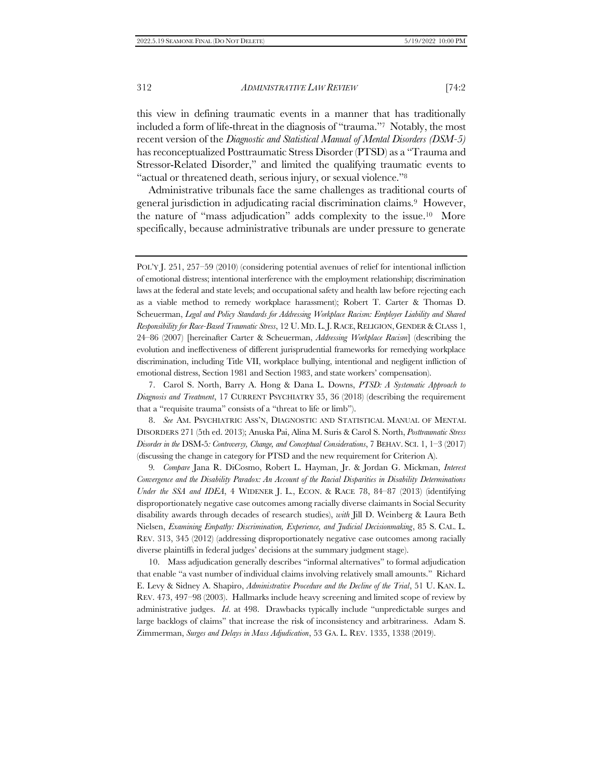this view in defining traumatic events in a manner that has traditionally included a form of life-threat in the diagnosis of "trauma."7 Notably, the most recent version of the *Diagnostic and Statistical Manual of Mental Disorders (DSM-5)* has reconceptualized Posttraumatic Stress Disorder (PTSD) as a "Trauma and Stressor-Related Disorder," and limited the qualifying traumatic events to "actual or threatened death, serious injury, or sexual violence."<sup>8</sup>

<span id="page-3-0"></span>Administrative tribunals face the same challenges as traditional courts of general jurisdiction in adjudicating racial discrimination claims.9 However, the nature of "mass adjudication" adds complexity to the issue.10 More specifically, because administrative tribunals are under pressure to generate

8. *See* AM. PSYCHIATRIC ASS'N, DIAGNOSTIC AND STATISTICAL MANUAL OF MENTAL DISORDERS 271 (5th ed. 2013); Anuska Pai, Alina M. Suris & Carol S. North, *Posttraumatic Stress Disorder in the* DSM-5*: Controversy, Change, and Conceptual Considerations*, 7 BEHAV. SCI. 1, 1–3 (2017) (discussing the change in category for PTSD and the new requirement for Criterion A).

9*. Compare* Jana R. DiCosmo, Robert L. Hayman, Jr. & Jordan G. Mickman, *Interest Convergence and the Disability Paradox: An Account of the Racial Disparities in Disability Determinations Under the SSA and IDEA*, 4 WIDENER J. L., ECON. & RACE 78, 84–87 (2013) (identifying disproportionately negative case outcomes among racially diverse claimants in Social Security disability awards through decades of research studies), *with* Jill D. Weinberg & Laura Beth Nielsen, *Examining Empathy: Discrimination, Experience, and Judicial Decisionmaking*, 85 S. CAL. L. REV. 313, 345 (2012) (addressing disproportionately negative case outcomes among racially diverse plaintiffs in federal judges' decisions at the summary judgment stage).

10. Mass adjudication generally describes "informal alternatives" to formal adjudication that enable "a vast number of individual claims involving relatively small amounts." Richard E. Levy & Sidney A. Shapiro, *Administrative Procedure and the Decline of the Trial*, 51 U. KAN. L. REV. 473, 497–98 (2003). Hallmarks include heavy screening and limited scope of review by administrative judges. *Id*. at 498. Drawbacks typically include "unpredictable surges and large backlogs of claims" that increase the risk of inconsistency and arbitrariness. Adam S. Zimmerman, *Surges and Delays in Mass Adjudication*, 53 GA. L. REV. 1335, 1338 (2019).

POL'Y J. 251, 257–59 (2010) (considering potential avenues of relief for intentional infliction of emotional distress; intentional interference with the employment relationship; discrimination laws at the federal and state levels; and occupational safety and health law before rejecting each as a viable method to remedy workplace harassment); Robert T. Carter & Thomas D. Scheuerman, *Legal and Policy Standards for Addressing Workplace Racism: Employer Liability and Shared Responsibility for Race-Based Traumatic Stress*, 12 U. MD. L.J. RACE, RELIGION, GENDER & CLASS 1, 24–86 (2007) [hereinafter Carter & Scheuerman, *Addressing Workplace Racism*] (describing the evolution and ineffectiveness of different jurisprudential frameworks for remedying workplace discrimination, including Title VII, workplace bullying, intentional and negligent infliction of emotional distress, Section 1981 and Section 1983, and state workers' compensation).

<sup>7.</sup> Carol S. North, Barry A. Hong & Dana L. Downs, *PTSD: A Systematic Approach to Diagnosis and Treatment*, 17 CURRENT PSYCHIATRY 35, 36 (2018) (describing the requirement that a "requisite trauma" consists of a "threat to life or limb").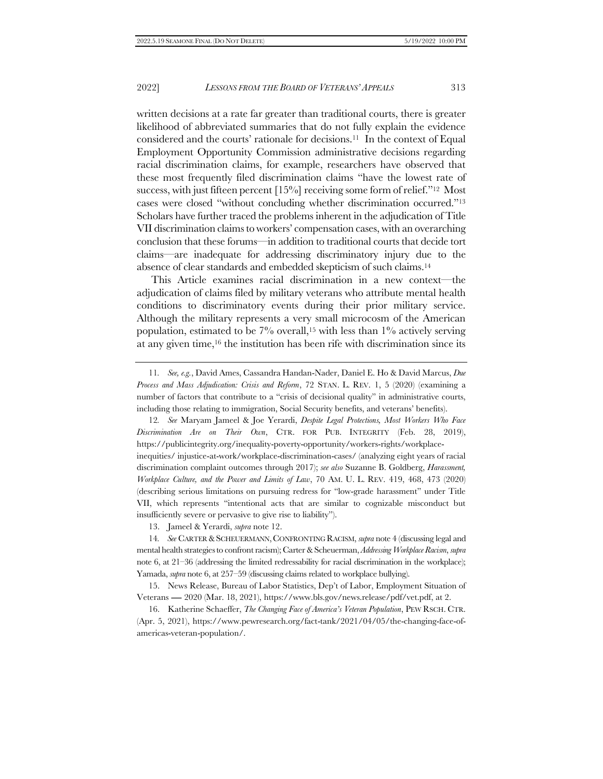<span id="page-4-1"></span><span id="page-4-0"></span>written decisions at a rate far greater than traditional courts, there is greater likelihood of abbreviated summaries that do not fully explain the evidence considered and the courts' rationale for decisions.11 In the context of Equal Employment Opportunity Commission administrative decisions regarding racial discrimination claims, for example, researchers have observed that these most frequently filed discrimination claims "have the lowest rate of success, with just fifteen percent [15%] receiving some form of relief."<sup>12</sup> Most cases were closed "without concluding whether discrimination occurred."<sup>13</sup> Scholars have further traced the problems inherent in the adjudication of Title VII discrimination claims to workers' compensation cases, with an overarching conclusion that these forums—in addition to traditional courts that decide tort claims—are inadequate for addressing discriminatory injury due to the absence of clear standards and embedded skepticism of such claims.<sup>14</sup>

This Article examines racial discrimination in a new context—the adjudication of claims filed by military veterans who attribute mental health conditions to discriminatory events during their prior military service. Although the military represents a very small microcosm of the American population, estimated to be  $7\%$  overall,<sup>15</sup> with less than  $1\%$  actively serving at any given time,<sup>16</sup> the institution has been rife with discrimination since its

12*. See* Maryam Jameel & Joe Yerardi, *Despite Legal Protections, Most Workers Who Face Discrimination Are on Their Own*, CTR. FOR PUB. INTEGRITY (Feb. 28, 2019), https://publicintegrity.org/inequality-poverty-opportunity/workers-rights/workplaceinequities/ injustice-at-work/workplace-discrimination-cases/ (analyzing eight years of racial discrimination complaint outcomes through 2017); *see also* Suzanne B. Goldberg, *Harassment, Workplace Culture, and the Power and Limits of Law*, 70 AM. U. L. REV. 419, 468, 473 (2020) (describing serious limitations on pursuing redress for "low-grade harassment" under Title VII, which represents "intentional acts that are similar to cognizable misconduct but insufficiently severe or pervasive to give rise to liability").

14*. See* CARTER &SCHEUERMANN,CONFRONTING RACISM, *supra* not[e 4](#page-2-0) (discussing legal and mental health strategies to confront racism); Carter & Scheuerman, *Addressing Workplace Racism*, *supra* not[e 6,](#page-2-1) at 21–36 (addressing the limited redressability for racial discrimination in the workplace); Yamada, *supra* not[e 6,](#page-2-1) at 257–59 (discussing claims related to workplace bullying).

<sup>11</sup>*. See, e.g.*, David Ames, Cassandra Handan-Nader, Daniel E. Ho & David Marcus, *Due Process and Mass Adjudication: Crisis and Reform*, 72 STAN. L. REV. 1, 5 (2020) (examining a number of factors that contribute to a "crisis of decisional quality" in administrative courts, including those relating to immigration, Social Security benefits, and veterans' benefits).

<sup>13.</sup> Jameel & Yerardi, *supra* not[e 12.](#page-4-0)

<sup>15.</sup> News Release, Bureau of Labor Statistics, Dep't of Labor, Employment Situation of Veterans ― 2020 (Mar. 18, 2021), https://www.bls.gov/news.release/pdf/vet.pdf, at 2.

<sup>16.</sup> Katherine Schaeffer, *The Changing Face of America's Veteran Population*, PEW RSCH. CTR. (Apr. 5, 2021), https://www.pewresearch.org/fact-tank/2021/04/05/the-changing-face-ofamericas-veteran-population/.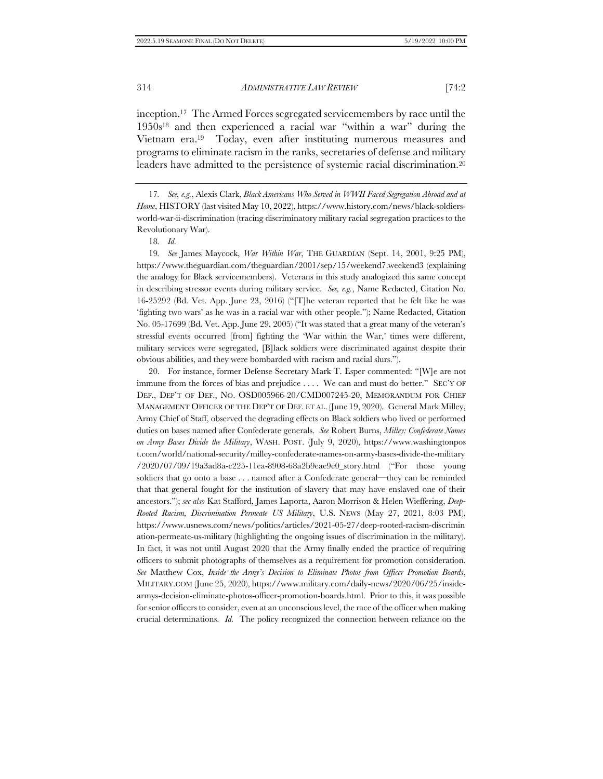inception.17 The Armed Forces segregated servicemembers by race until the 1950s<sup>18</sup> and then experienced a racial war "within a war" during the Vietnam era.19 Today, even after instituting numerous measures and programs to eliminate racism in the ranks, secretaries of defense and military leaders have admitted to the persistence of systemic racial discrimination.<sup>20</sup>

17*. See, e.g.*, Alexis Clark, *Black Americans Who Served in WWII Faced Segregation Abroad and at Home*, HISTORY (last visited May 10, 2022), https://www.history.com/news/black-soldiersworld-war-ii-discrimination (tracing discriminatory military racial segregation practices to the Revolutionary War).

18*. Id.*

19*. See* James Maycock, *War Within War*, THE GUARDIAN (Sept. 14, 2001, 9:25 PM), https://www.theguardian.com/theguardian/2001/sep/15/weekend7.weekend3 (explaining the analogy for Black servicemembers). Veterans in this study analogized this same concept in describing stressor events during military service. *See, e.g.*, Name Redacted, Citation No. 16-25292 (Bd. Vet. App. June 23, 2016) ("[T]he veteran reported that he felt like he was 'fighting two wars' as he was in a racial war with other people."); Name Redacted, Citation No. 05-17699 (Bd. Vet. App. June 29, 2005) ("It was stated that a great many of the veteran's stressful events occurred [from] fighting the 'War within the War,' times were different, military services were segregated, [B]lack soldiers were discriminated against despite their obvious abilities, and they were bombarded with racism and racial slurs.").

20. For instance, former Defense Secretary Mark T. Esper commented: "[W]e are not immune from the forces of bias and prejudice . . . . We can and must do better." SEC'Y OF DEF., DEP'T OF DEF., NO. OSD005966-20/CMD007245-20, MEMORANDUM FOR CHIEF MANAGEMENT OFFICER OF THE DEP'T OF DEF. ET AL. (June 19, 2020). General Mark Milley, Army Chief of Staff, observed the degrading effects on Black soldiers who lived or performed duties on bases named after Confederate generals. *See* Robert Burns, *Milley: Confederate Names on Army Bases Divide the Military*, WASH. POST. (July 9, 2020), https://www.washingtonpos t.com/world/national-security/milley-confederate-names-on-army-bases-divide-the-military /2020/07/09/19a3ad8a-c225-11ea-8908-68a2b9eae9e0\_story.html ("For those young soldiers that go onto a base . . . named after a Confederate general—they can be reminded that that general fought for the institution of slavery that may have enslaved one of their ancestors."); *see also* Kat Stafford, James Laporta, Aaron Morrison & Helen Wieffering, *Deep-Rooted Racism, Discrimination Permeate US Military*, U.S. NEWS (May 27, 2021, 8:03 PM), https://www.usnews.com/news/politics/articles/2021-05-27/deep-rooted-racism-discrimin ation-permeate-us-military (highlighting the ongoing issues of discrimination in the military). In fact, it was not until August 2020 that the Army finally ended the practice of requiring officers to submit photographs of themselves as a requirement for promotion consideration. *See* Matthew Cox, *Inside the Army's Decision to Eliminate Photos from Officer Promotion Boards*, MILITARY.COM (June 25, 2020), https://www.military.com/daily-news/2020/06/25/insidearmys-decision-eliminate-photos-officer-promotion-boards.html. Prior to this, it was possible for senior officers to consider, even at an unconscious level, the race of the officer when making crucial determinations. *Id.* The policy recognized the connection between reliance on the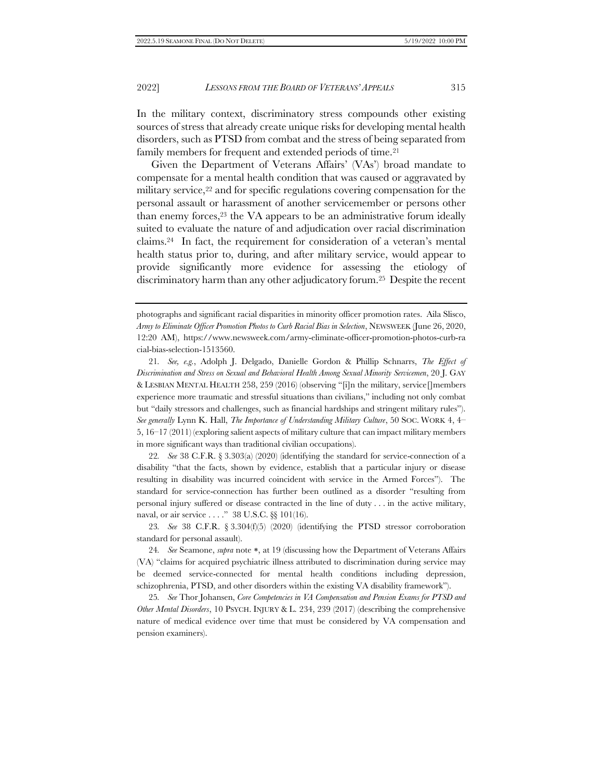In the military context, discriminatory stress compounds other existing sources of stress that already create unique risks for developing mental health disorders, such as PTSD from combat and the stress of being separated from family members for frequent and extended periods of time.<sup>21</sup>

Given the Department of Veterans Affairs' (VAs') broad mandate to compensate for a mental health condition that was caused or aggravated by military service,<sup>22</sup> and for specific regulations covering compensation for the personal assault or harassment of another servicemember or persons other than enemy forces,<sup>23</sup> the VA appears to be an administrative forum ideally suited to evaluate the nature of and adjudication over racial discrimination claims.24 In fact, the requirement for consideration of a veteran's mental health status prior to, during, and after military service, would appear to provide significantly more evidence for assessing the etiology of discriminatory harm than any other adjudicatory forum.25 Despite the recent

21*. See, e.g.*, Adolph J. Delgado, Danielle Gordon & Phillip Schnarrs, *The Effect of Discrimination and Stress on Sexual and Behavioral Health Among Sexual Minority Servicemen*, 20 J. GAY & LESBIAN MENTAL HEALTH 258, 259 (2016) (observing "[i]n the military, service[]members experience more traumatic and stressful situations than civilians," including not only combat but "daily stressors and challenges, such as financial hardships and stringent military rules"). *See generally* Lynn K. Hall, *The Importance of Understanding Military Culture*, 50 SOC. WORK 4, 4– 5, 16–17 (2011) (exploring salient aspects of military culture that can impact military members in more significant ways than traditional civilian occupations).

22*. See* 38 C.F.R. § 3.303(a) (2020) (identifying the standard for service-connection of a disability "that the facts, shown by evidence, establish that a particular injury or disease resulting in disability was incurred coincident with service in the Armed Forces"). The standard for service-connection has further been outlined as a disorder "resulting from personal injury suffered or disease contracted in the line of duty . . . in the active military, naval, or air service . . . ." 38 U.S.C. §§ 101(16).

23*. See* 38 C.F.R. § 3.304(f)(5) (2020) (identifying the PTSD stressor corroboration standard for personal assault).

24. *See* Seamone, *supra* note \*, at 19 (discussing how the Department of Veterans Affairs (VA) "claims for acquired psychiatric illness attributed to discrimination during service may be deemed service-connected for mental health conditions including depression, schizophrenia, PTSD, and other disorders within the existing VA disability framework").

25*. See* Thor Johansen, *Core Competencies in VA Compensation and Pension Exams for PTSD and Other Mental Disorders*, 10 PSYCH. INJURY & L. 234, 239 (2017) (describing the comprehensive nature of medical evidence over time that must be considered by VA compensation and pension examiners).

photographs and significant racial disparities in minority officer promotion rates. Aila Slisco, *Army to Eliminate Officer Promotion Photos to Curb Racial Bias in Selection*, NEWSWEEK (June 26, 2020, 12:20 AM), https://www.newsweek.com/army-eliminate-officer-promotion-photos-curb-ra cial-bias-selection-1513560.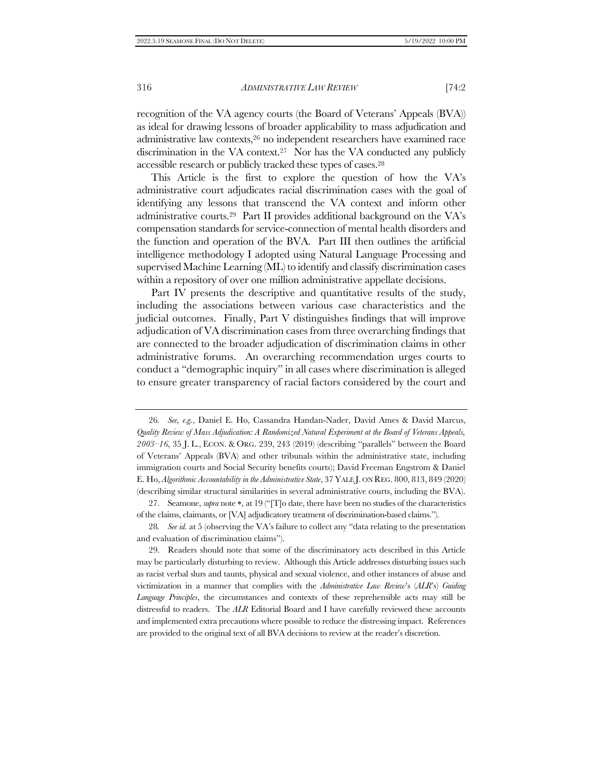recognition of the VA agency courts (the Board of Veterans' Appeals (BVA)) as ideal for drawing lessons of broader applicability to mass adjudication and administrative law contexts,<sup>26</sup> no independent researchers have examined race discrimination in the VA context.27 Nor has the VA conducted any publicly accessible research or publicly tracked these types of cases.<sup>28</sup>

This Article is the first to explore the question of how the VA's administrative court adjudicates racial discrimination cases with the goal of identifying any lessons that transcend the VA context and inform other administrative courts.<sup>29</sup> Part II provides additional background on the VA's compensation standards for service-connection of mental health disorders and the function and operation of the BVA. Part III then outlines the artificial intelligence methodology I adopted using Natural Language Processing and supervised Machine Learning (ML) to identify and classify discrimination cases within a repository of over one million administrative appellate decisions.

Part IV presents the descriptive and quantitative results of the study, including the associations between various case characteristics and the judicial outcomes. Finally, Part V distinguishes findings that will improve adjudication of VA discrimination cases from three overarching findings that are connected to the broader adjudication of discrimination claims in other administrative forums. An overarching recommendation urges courts to conduct a "demographic inquiry" in all cases where discrimination is alleged to ensure greater transparency of racial factors considered by the court and

<sup>26</sup>*. See, e.g.*, Daniel E. Ho, Cassandra Handan-Nader, David Ames & David Marcus, *Quality Review of Mass Adjudication: A Randomized Natural Experiment at the Board of Veterans Appeals, 2003–16*, 35 J. L., ECON. & ORG. 239, 243 (2019) (describing "parallels" between the Board of Veterans' Appeals (BVA) and other tribunals within the administrative state, including immigration courts and Social Security benefits courts); David Freeman Engstrom & Daniel E. Ho, *Algorithmic Accountability in the Administrative State*, 37 YALE J. ON REG. 800, 813, 849 (2020) (describing similar structural similarities in several administrative courts, including the BVA).

<sup>27.</sup> Seamone, *supra* note \*, at 19 ("[T]o date, there have been no studies of the characteristics of the claims, claimants, or [VA] adjudicatory treatment of discrimination-based claims.").

<sup>28</sup>*. See id.* at 5 (observing the VA's failure to collect any "data relating to the presentation and evaluation of discrimination claims").

<sup>29.</sup> Readers should note that some of the discriminatory acts described in this Article may be particularly disturbing to review. Although this Article addresses disturbing issues such as racist verbal slurs and taunts, physical and sexual violence, and other instances of abuse and victimization in a manner that complies with the *Administrative Law Review*'s (*ALR*'s) *Guiding Language Principles*, the circumstances and contexts of these reprehensible acts may still be distressful to readers. The *ALR* Editorial Board and I have carefully reviewed these accounts and implemented extra precautions where possible to reduce the distressing impact. References are provided to the original text of all BVA decisions to review at the reader's discretion.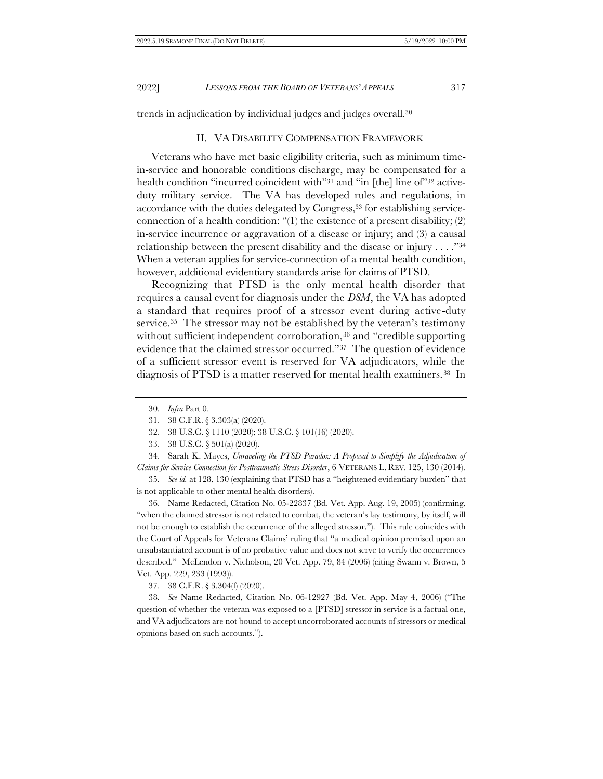<span id="page-8-1"></span>trends in adjudication by individual judges and judges overall.<sup>30</sup>

# <span id="page-8-0"></span>II. VA DISABILITY COMPENSATION FRAMEWORK

Veterans who have met basic eligibility criteria, such as minimum timein-service and honorable conditions discharge, may be compensated for a health condition "incurred coincident with"<sup>31</sup> and "in [the] line of"<sup>32</sup> activeduty military service. The VA has developed rules and regulations, in accordance with the duties delegated by Congress,<sup>33</sup> for establishing serviceconnection of a health condition: "(1) the existence of a present disability; (2) in-service incurrence or aggravation of a disease or injury; and (3) a causal relationship between the present disability and the disease or injury . . . ."<sup>34</sup> When a veteran applies for service-connection of a mental health condition, however, additional evidentiary standards arise for claims of PTSD.

Recognizing that PTSD is the only mental health disorder that requires a causal event for diagnosis under the *DSM*, the VA has adopted a standard that requires proof of a stressor event during active-duty service.<sup>35</sup> The stressor may not be established by the veteran's testimony without sufficient independent corroboration,<sup>36</sup> and "credible supporting evidence that the claimed stressor occurred."37 The question of evidence of a sufficient stressor event is reserved for VA adjudicators, while the diagnosis of PTSD is a matter reserved for mental health examiners.38 In

33. 38 U.S.C. § 501(a) (2020).

34. Sarah K. Mayes, *Unraveling the PTSD Paradox: A Proposal to Simplify the Adjudication of Claims for Service Connection for Posttraumatic Stress Disorder*, 6 VETERANS L. REV. 125, 130 (2014).

35*. See id.* at 128, 130 (explaining that PTSD has a "heightened evidentiary burden" that is not applicable to other mental health disorders).

36. Name Redacted, Citation No. 05-22837 (Bd. Vet. App. Aug. 19, 2005) (confirming, "when the claimed stressor is not related to combat, the veteran's lay testimony, by itself, will not be enough to establish the occurrence of the alleged stressor."). This rule coincides with the Court of Appeals for Veterans Claims' ruling that "a medical opinion premised upon an unsubstantiated account is of no probative value and does not serve to verify the occurrences described." McLendon v. Nicholson, 20 Vet. App. 79, 84 (2006) (citing Swann v. Brown, 5 Vet. App. 229, 233 (1993)).

37. 38 C.F.R. § 3.304(f) (2020).

38*. See* Name Redacted, Citation No. 06-12927 (Bd. Vet. App. May 4, 2006) ("The question of whether the veteran was exposed to a [PTSD] stressor in service is a factual one, and VA adjudicators are not bound to accept uncorroborated accounts of stressors or medical opinions based on such accounts.").

<sup>30</sup>*. Infra* Par[t 0.](#page-39-0)

<sup>31.</sup> 38 C.F.R. § 3.303(a) (2020).

<sup>32.</sup> 38 U.S.C. § 1110 (2020); 38 U.S.C. § 101(16) (2020).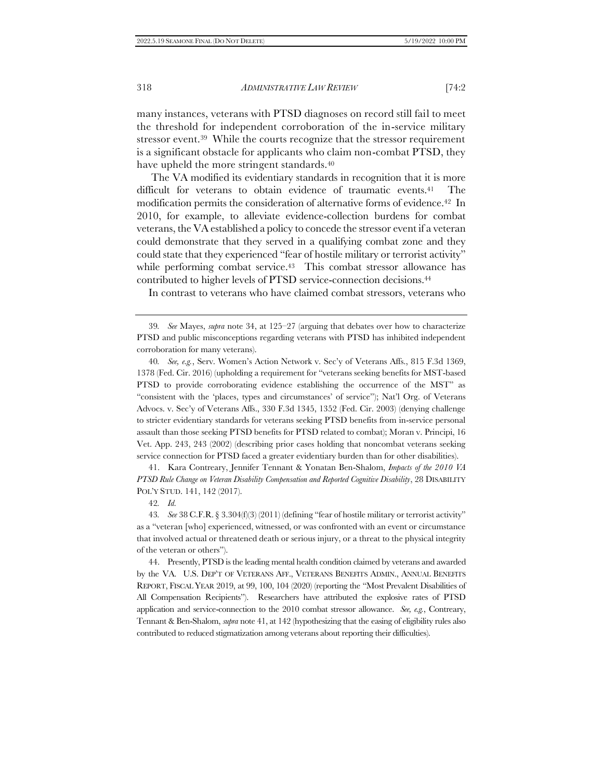many instances, veterans with PTSD diagnoses on record still fail to meet the threshold for independent corroboration of the in-service military stressor event.39 While the courts recognize that the stressor requirement is a significant obstacle for applicants who claim non-combat PTSD, they have upheld the more stringent standards.<sup>40</sup>

<span id="page-9-0"></span>The VA modified its evidentiary standards in recognition that it is more difficult for veterans to obtain evidence of traumatic events.<sup>41</sup> The modification permits the consideration of alternative forms of evidence.42 In 2010, for example, to alleviate evidence-collection burdens for combat veterans, the VA established a policy to concede the stressor event if a veteran could demonstrate that they served in a qualifying combat zone and they could state that they experienced "fear of hostile military or terrorist activity" while performing combat service.<sup>43</sup> This combat stressor allowance has contributed to higher levels of PTSD service-connection decisions.<sup>44</sup>

In contrast to veterans who have claimed combat stressors, veterans who

40*. See, e.g.*, Serv. Women's Action Network v. Sec'y of Veterans Affs., 815 F.3d 1369, 1378 (Fed. Cir. 2016) (upholding a requirement for "veterans seeking benefits for MST-based PTSD to provide corroborating evidence establishing the occurrence of the MST" as "consistent with the 'places, types and circumstances' of service"); Nat'l Org. of Veterans Advocs. v. Sec'y of Veterans Affs., 330 F.3d 1345, 1352 (Fed. Cir. 2003) (denying challenge to stricter evidentiary standards for veterans seeking PTSD benefits from in-service personal assault than those seeking PTSD benefits for PTSD related to combat); Moran v. Principi, 16 Vet. App. 243, 243 (2002) (describing prior cases holding that noncombat veterans seeking service connection for PTSD faced a greater evidentiary burden than for other disabilities).

41. Kara Contreary, Jennifer Tennant & Yonatan Ben-Shalom, *Impacts of the 2010 VA PTSD Rule Change on Veteran Disability Compensation and Reported Cognitive Disability*, 28 DISABILITY POL'Y STUD. 141, 142 (2017).

42*. Id.*

44. Presently, PTSD is the leading mental health condition claimed by veterans and awarded by the VA. U.S. DEP'T OF VETERANS AFF., VETERANS BENEFITS ADMIN., ANNUAL BENEFITS REPORT, FISCAL YEAR 2019, at 99, 100, 104 (2020) (reporting the "Most Prevalent Disabilities of All Compensation Recipients"). Researchers have attributed the explosive rates of PTSD application and service-connection to the 2010 combat stressor allowance. *See, e.g.*, Contreary, Tennant & Ben-Shalom, *supra* not[e 41,](#page-9-0) at 142 (hypothesizing that the easing of eligibility rules also contributed to reduced stigmatization among veterans about reporting their difficulties).

<sup>39</sup>*. See* Mayes, *supra* note [34,](#page-8-0) at 125–27 (arguing that debates over how to characterize PTSD and public misconceptions regarding veterans with PTSD has inhibited independent corroboration for many veterans).

<sup>43</sup>*. See* 38 C.F.R. § 3.304(f)(3) (2011) (defining "fear of hostile military or terrorist activity" as a "veteran [who] experienced, witnessed, or was confronted with an event or circumstance that involved actual or threatened death or serious injury, or a threat to the physical integrity of the veteran or others").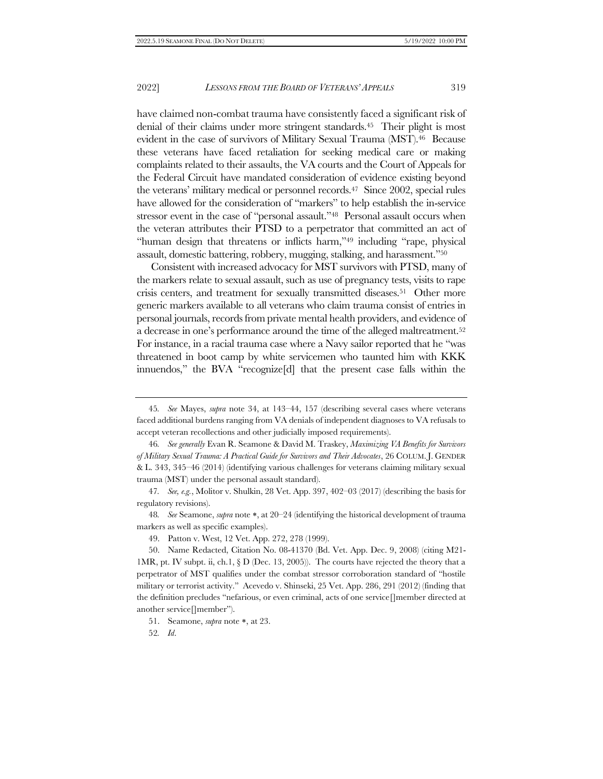<span id="page-10-1"></span>have claimed non-combat trauma have consistently faced a significant risk of denial of their claims under more stringent standards.45 Their plight is most evident in the case of survivors of Military Sexual Trauma (MST).46 Because these veterans have faced retaliation for seeking medical care or making complaints related to their assaults, the VA courts and the Court of Appeals for the Federal Circuit have mandated consideration of evidence existing beyond the veterans' military medical or personnel records.47 Since 2002, special rules have allowed for the consideration of "markers" to help establish the in-service stressor event in the case of "personal assault."48 Personal assault occurs when the veteran attributes their PTSD to a perpetrator that committed an act of "human design that threatens or inflicts harm,"<sup>49</sup> including "rape, physical assault, domestic battering, robbery, mugging, stalking, and harassment."<sup>50</sup>

<span id="page-10-0"></span>Consistent with increased advocacy for MST survivors with PTSD, many of the markers relate to sexual assault, such as use of pregnancy tests, visits to rape crisis centers, and treatment for sexually transmitted diseases.51 Other more generic markers available to all veterans who claim trauma consist of entries in personal journals, records from private mental health providers, and evidence of a decrease in one's performance around the time of the alleged maltreatment.<sup>52</sup> For instance, in a racial trauma case where a Navy sailor reported that he "was threatened in boot camp by white servicemen who taunted him with KKK innuendos," the BVA "recognize[d] that the present case falls within the

52*. Id*.

<sup>45</sup>*. See* Mayes, *supra* note [34,](#page-8-0) at 143–44, 157 (describing several cases where veterans faced additional burdens ranging from VA denials of independent diagnoses to VA refusals to accept veteran recollections and other judicially imposed requirements).

<sup>46</sup>*. See generally* Evan R. Seamone & David M. Traskey, *Maximizing VA Benefits for Survivors of Military Sexual Trauma: A Practical Guide for Survivors and Their Advocates*, 26 COLUM.J. GENDER & L. 343, 345–46 (2014) (identifying various challenges for veterans claiming military sexual trauma (MST) under the personal assault standard).

<sup>47</sup>*. See, e.g.*, Molitor v. Shulkin, 28 Vet. App. 397, 402–03 (2017) (describing the basis for regulatory revisions).

<sup>48.</sup> *See* Seamone, *supra* note \*, at 20–24 (identifying the historical development of trauma markers as well as specific examples).

<sup>49.</sup> Patton v. West, 12 Vet. App. 272, 278 (1999).

<sup>50.</sup> Name Redacted, Citation No. 08-41370 (Bd. Vet. App. Dec. 9, 2008) (citing M21- 1MR, pt. IV subpt. ii, ch.1,  $\S$  D (Dec. 13, 2005)). The courts have rejected the theory that a perpetrator of MST qualifies under the combat stressor corroboration standard of "hostile military or terrorist activity." Acevedo v. Shinseki, 25 Vet. App. 286, 291 (2012) (finding that the definition precludes "nefarious, or even criminal, acts of one service[]member directed at another service[]member").

<sup>51.</sup> Seamone, *supra* note \*, at 23.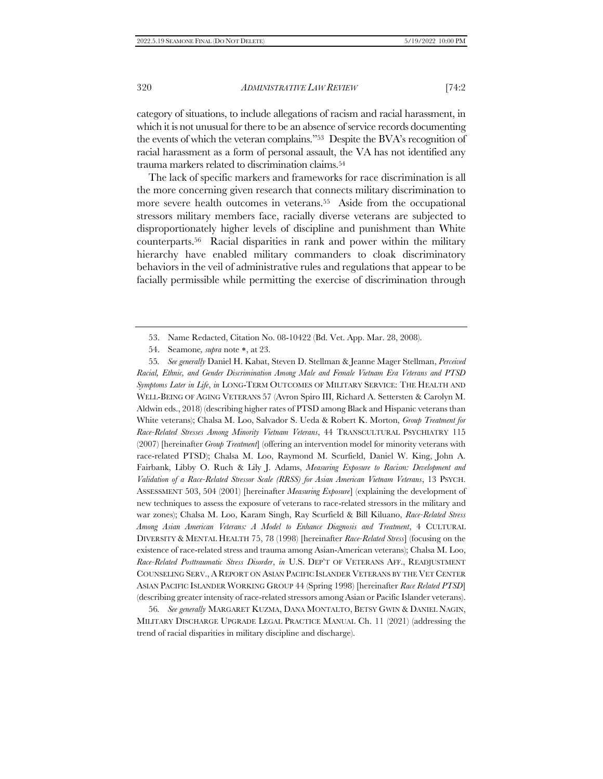category of situations, to include allegations of racism and racial harassment, in which it is not unusual for there to be an absence of service records documenting the events of which the veteran complains."<sup>53</sup> Despite the BVA's recognition of racial harassment as a form of personal assault, the VA has not identified any trauma markers related to discrimination claims.<sup>54</sup>

<span id="page-11-0"></span>The lack of specific markers and frameworks for race discrimination is all the more concerning given research that connects military discrimination to more severe health outcomes in veterans.<sup>55</sup> Aside from the occupational stressors military members face, racially diverse veterans are subjected to disproportionately higher levels of discipline and punishment than White counterparts.56 Racial disparities in rank and power within the military hierarchy have enabled military commanders to cloak discriminatory behaviors in the veil of administrative rules and regulations that appear to be facially permissible while permitting the exercise of discrimination through

55*. See generally* Daniel H. Kabat, Steven D. Stellman & Jeanne Mager Stellman, *Perceived Racial, Ethnic, and Gender Discrimination Among Male and Female Vietnam Era Veterans and PTSD Symptoms Later in Life*, *in* LONG-TERM OUTCOMES OF MILITARY SERVICE: THE HEALTH AND WELL-BEING OF AGING VETERANS 57 (Avron Spiro III, Richard A. Settersten & Carolyn M. Aldwin eds., 2018) (describing higher rates of PTSD among Black and Hispanic veterans than White veterans); Chalsa M. Loo, Salvador S. Ueda & Robert K. Morton, *Group Treatment for Race-Related Stresses Among Minority Vietnam Veterans*, 44 TRANSCULTURAL PSYCHIATRY 115 (2007) [hereinafter *Group Treatment*] (offering an intervention model for minority veterans with race-related PTSD); Chalsa M. Loo, Raymond M. Scurfield, Daniel W. King, John A. Fairbank, Libby O. Ruch & Lily J. Adams, *Measuring Exposure to Racism: Development and Validation of a Race-Related Stressor Scale (RRSS) for Asian American Vietnam Veterans*, 13 PSYCH. ASSESSMENT 503, 504 (2001) [hereinafter *Measuring Exposure*] (explaining the development of new techniques to assess the exposure of veterans to race-related stressors in the military and war zones); Chalsa M. Loo, Karam Singh, Ray Scurfield & Bill Kiluano, *Race-Related Stress Among Asian American Veterans: A Model to Enhance Diagnosis and Treatment*, 4 CULTURAL DIVERSITY & MENTAL HEALTH 75, 78 (1998) [hereinafter *Race-Related Stress*] (focusing on the existence of race-related stress and trauma among Asian-American veterans); Chalsa M. Loo, *Race-Related Posttraumatic Stress Disorder*, *in* U.S. DEP'T OF VETERANS AFF., READJUSTMENT COUNSELING SERV., A REPORT ON ASIAN PACIFIC ISLANDER VETERANS BY THE VET CENTER ASIAN PACIFIC ISLANDER WORKING GROUP 44 (Spring 1998) [hereinafter *Race Related PTSD*] (describing greater intensity of race-related stressors among Asian or Pacific Islander veterans).

56*. See generally* MARGARET KUZMA, DANA MONTALTO, BETSY GWIN & DANIEL NAGIN, MILITARY DISCHARGE UPGRADE LEGAL PRACTICE MANUAL Ch. 11 (2021) (addressing the trend of racial disparities in military discipline and discharge).

<sup>53.</sup> Name Redacted, Citation No. 08-10422 (Bd. Vet. App. Mar. 28, 2008).

<sup>54.</sup> Seamone, *supra* note \*, at 23.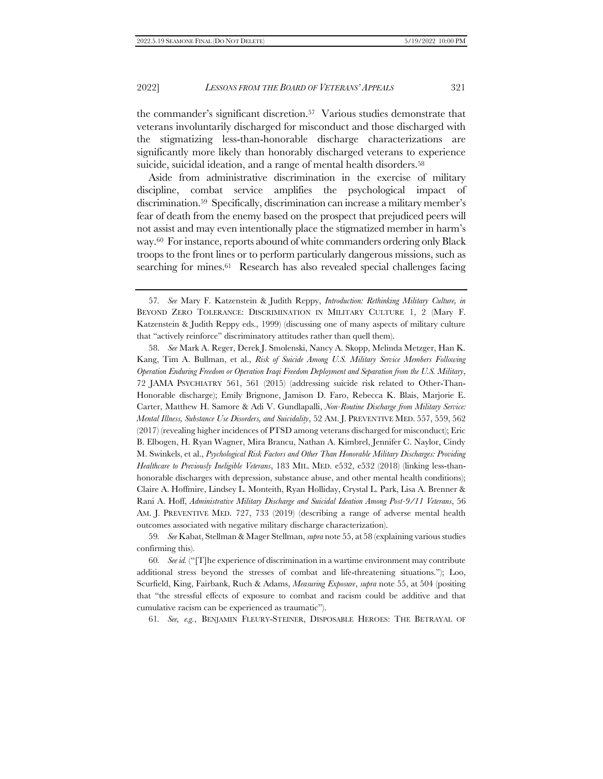the commander's significant discretion.57 Various studies demonstrate that veterans involuntarily discharged for misconduct and those discharged with the stigmatizing less-than-honorable discharge characterizations are significantly more likely than honorably discharged veterans to experience suicide, suicidal ideation, and a range of mental health disorders.<sup>58</sup>

Aside from administrative discrimination in the exercise of military discipline, combat service amplifies the psychological impact of discrimination.<sup>59</sup> Specifically, discrimination can increase a military member's fear of death from the enemy based on the prospect that prejudiced peers will not assist and may even intentionally place the stigmatized member in harm's way.60 For instance, reports abound of white commanders ordering only Black troops to the front lines or to perform particularly dangerous missions, such as searching for mines.<sup>61</sup> Research has also revealed special challenges facing

58. *See* Mark A. Reger, Derek J. Smolenski, Nancy A. Skopp, Melinda Metzger, Han K. Kang, Tim A. Bullman, et al., *Risk of Suicide Among U.S. Military Service Members Following Operation Enduring Freedom or Operation Iraqi Freedom Deployment and Separation from the U.S. Military*, 72 JAMA PSYCHIATRY 561, 561 (2015) (addressing suicide risk related to Other-Than-Honorable discharge); Emily Brignone, Jamison D. Faro, Rebecca K. Blais, Marjorie E. Carter, Matthew H. Samore & Adi V. Gundlapalli, *Non-Routine Discharge from Military Service: Mental Illness, Substance Use Disorders, and Suicidality*, 52 AM. J. PREVENTIVE MED. 557, 559, 562 (2017) (revealing higher incidences of PTSD among veterans discharged for misconduct); Eric B. Elbogen, H. Ryan Wagner, Mira Brancu, Nathan A. Kimbrel, Jennifer C. Naylor, Cindy M. Swinkels, et al., *Psychological Risk Factors and Other Than Honorable Military Discharges: Providing Healthcare to Previously Ineligible Veterans*, 183 MIL. MED. e532, e532 (2018) (linking less-thanhonorable discharges with depression, substance abuse, and other mental health conditions); Claire A. Hoffmire, Lindsey L. Monteith, Ryan Holliday, Crystal L. Park, Lisa A. Brenner & Rani A. Hoff, *Administrative Military Discharge and Suicidal Ideation Among Post-9/11 Veterans*, 56 AM. J. PREVENTIVE MED. 727, 733 (2019) (describing a range of adverse mental health outcomes associated with negative military discharge characterization).

59*. See* Kabat, Stellman & Mager Stellman, *supra* not[e 55,](#page-11-0) at 58 (explaining various studies confirming this).

60*. See id.* ("[T]he experience of discrimination in a wartime environment may contribute additional stress beyond the stresses of combat and life-threatening situations."); Loo, Scurfield, King, Fairbank, Ruch & Adams, *Measuring Exposure*, *supra* note [55,](#page-11-0) at 504 (positing that "the stressful effects of exposure to combat and racism could be additive and that cumulative racism can be experienced as traumatic").

61*. See, e.g.*, BENJAMIN FLEURY-STEINER, DISPOSABLE HEROES: THE BETRAYAL OF

<sup>57</sup>*. See* Mary F. Katzenstein & Judith Reppy, *Introduction: Rethinking Military Culture, in*  BEYOND ZERO TOLERANCE: DISCRIMINATION IN MILITARY CULTURE 1, 2 (Mary F. Katzenstein & Judith Reppy eds., 1999) (discussing one of many aspects of military culture that "actively reinforce" discriminatory attitudes rather than quell them).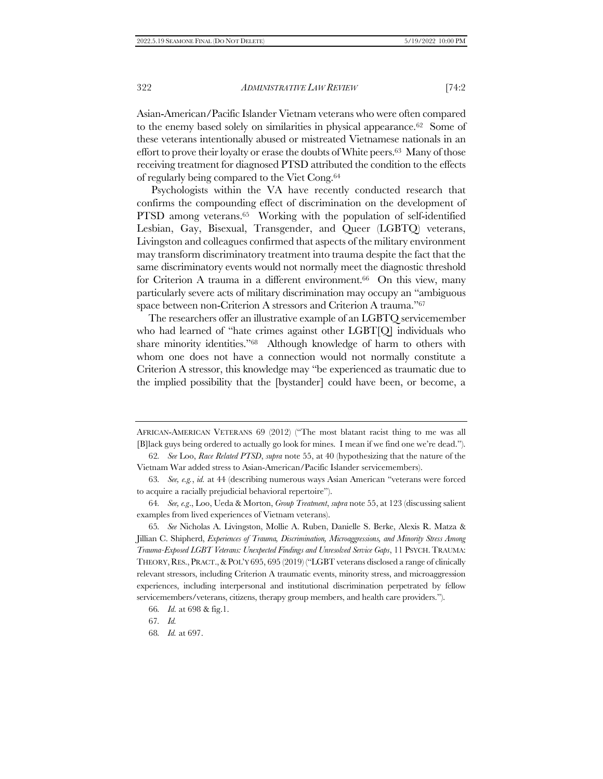Asian-American/Pacific Islander Vietnam veterans who were often compared to the enemy based solely on similarities in physical appearance.62 Some of these veterans intentionally abused or mistreated Vietnamese nationals in an effort to prove their loyalty or erase the doubts of White peers.63 Many of those receiving treatment for diagnosed PTSD attributed the condition to the effects of regularly being compared to the Viet Cong.<sup>64</sup>

Psychologists within the VA have recently conducted research that confirms the compounding effect of discrimination on the development of PTSD among veterans.<sup>65</sup> Working with the population of self-identified Lesbian, Gay, Bisexual, Transgender, and Queer (LGBTQ) veterans, Livingston and colleagues confirmed that aspects of the military environment may transform discriminatory treatment into trauma despite the fact that the same discriminatory events would not normally meet the diagnostic threshold for Criterion A trauma in a different environment.66 On this view, many particularly severe acts of military discrimination may occupy an "ambiguous space between non-Criterion A stressors and Criterion A trauma."<sup>67</sup>

The researchers offer an illustrative example of an LGBTQ servicemember who had learned of "hate crimes against other LGBT[Q] individuals who share minority identities."68 Although knowledge of harm to others with whom one does not have a connection would not normally constitute a Criterion A stressor, this knowledge may "be experienced as traumatic due to the implied possibility that the [bystander] could have been, or become, a

AFRICAN-AMERICAN VETERANS 69 (2012) ("The most blatant racist thing to me was all [B]lack guys being ordered to actually go look for mines. I mean if we find one we're dead.").

<sup>62</sup>*. See* Loo, *Race Related PTSD*, *supra* not[e 55,](#page-11-0) at 40 (hypothesizing that the nature of the Vietnam War added stress to Asian-American/Pacific Islander servicemembers).

<sup>63</sup>*. See, e.g.*, *id.* at 44 (describing numerous ways Asian American "veterans were forced to acquire a racially prejudicial behavioral repertoire").

<sup>64</sup>*. See, e.g*., Loo, Ueda & Morton, *Group Treatment*, *supra* not[e 55,](#page-11-0) at 123 (discussing salient examples from lived experiences of Vietnam veterans).

<sup>65</sup>*. See* Nicholas A. Livingston, Mollie A. Ruben, Danielle S. Berke, Alexis R. Matza & Jillian C. Shipherd, *Experiences of Trauma, Discrimination, Microaggressions, and Minority Stress Among Trauma-Exposed LGBT Veterans: Unexpected Findings and Unresolved Service Gaps*, 11 PSYCH. TRAUMA: THEORY, RES., PRACT.,&POL'Y 695, 695 (2019) ("LGBT veterans disclosed a range of clinically relevant stressors, including Criterion A traumatic events, minority stress, and microaggression experiences, including interpersonal and institutional discrimination perpetrated by fellow servicemembers/veterans, citizens, therapy group members, and health care providers.").

<sup>66</sup>*. Id.* at 698 & fig.1.

<sup>67</sup>*. Id.*

<sup>68</sup>*. Id.* at 697.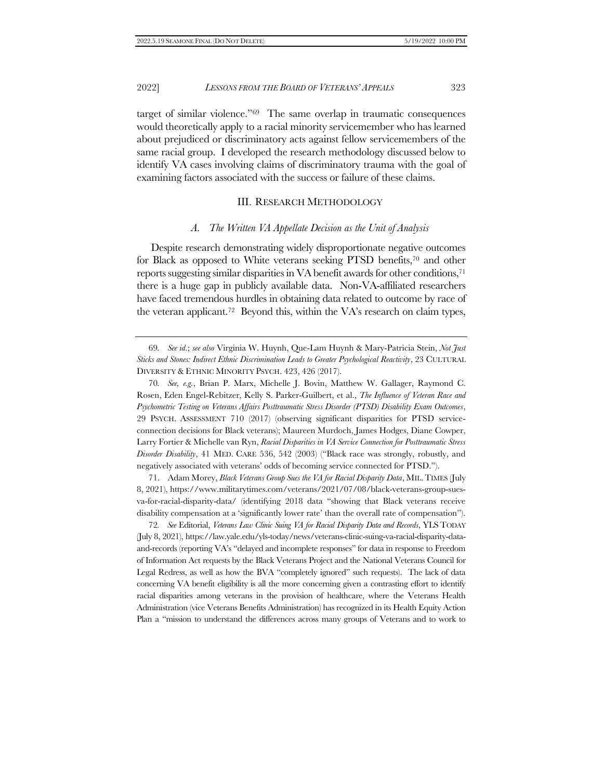target of similar violence."69 The same overlap in traumatic consequences would theoretically apply to a racial minority servicemember who has learned about prejudiced or discriminatory acts against fellow servicemembers of the same racial group. I developed the research methodology discussed below to identify VA cases involving claims of discriminatory trauma with the goal of examining factors associated with the success or failure of these claims.

## III. RESEARCH METHODOLOGY

#### <span id="page-14-1"></span>*A. The Written VA Appellate Decision as the Unit of Analysis*

<span id="page-14-0"></span>Despite research demonstrating widely disproportionate negative outcomes for Black as opposed to White veterans seeking PTSD benefits,<sup>70</sup> and other reports suggesting similar disparities in VA benefit awards for other conditions,<sup>71</sup> there is a huge gap in publicly available data. Non-VA-affiliated researchers have faced tremendous hurdles in obtaining data related to outcome by race of the veteran applicant.<sup>72</sup> Beyond this, within the VA's research on claim types,

69*. See id*.; *see also* Virginia W. Huynh, Que-Lam Huynh & Mary-Patricia Stein, *Not Just Sticks and Stones: Indirect Ethnic Discrimination Leads to Greater Psychological Reactivity*, 23 CULTURAL DIVERSITY & ETHNIC MINORITY PSYCH. 423, 426 (2017).

70*. See, e.g.*, Brian P. Marx, Michelle J. Bovin, Matthew W. Gallager, Raymond C. Rosen, Eden Engel-Rebitzer, Kelly S. Parker-Guilbert, et al., *The Influence of Veteran Race and Psychometric Testing on Veterans Affairs Posttraumatic Stress Disorder (PTSD) Disability Exam Outcomes*, 29 PSYCH. ASSESSMENT 710 (2017) (observing significant disparities for PTSD serviceconnection decisions for Black veterans); Maureen Murdoch, James Hodges, Diane Cowper, Larry Fortier & Michelle van Ryn, *Racial Disparities in VA Service Connection for Posttraumatic Stress Disorder Disability*, 41 MED. CARE 536, 542 (2003) ("Black race was strongly, robustly, and negatively associated with veterans' odds of becoming service connected for PTSD.").

71. Adam Morey, *Black Veterans Group Sues the VA for Racial Disparity Data*, MIL.TIMES (July 8, 2021), https://www.militarytimes.com/veterans/2021/07/08/black-veterans-group-suesva-for-racial-disparity-data/ (identifying 2018 data "showing that Black veterans receive disability compensation at a 'significantly lower rate' than the overall rate of compensation").

72*. See* Editorial, *Veterans Law Clinic Suing VA for Racial Disparity Data and Records*, YLS TODAY (July 8, 2021), https://law.yale.edu/yls-today/news/veterans-clinic-suing-va-racial-disparity-dataand-records (reporting VA's "delayed and incomplete responses" for data in response to Freedom of Information Act requests by the Black Veterans Project and the National Veterans Council for Legal Redress, as well as how the BVA "completely ignored" such requests). The lack of data concerning VA benefit eligibility is all the more concerning given a contrasting effort to identify racial disparities among veterans in the provision of healthcare, where the Veterans Health Administration (vice Veterans Benefits Administration) has recognized in its Health Equity Action Plan a "mission to understand the differences across many groups of Veterans and to work to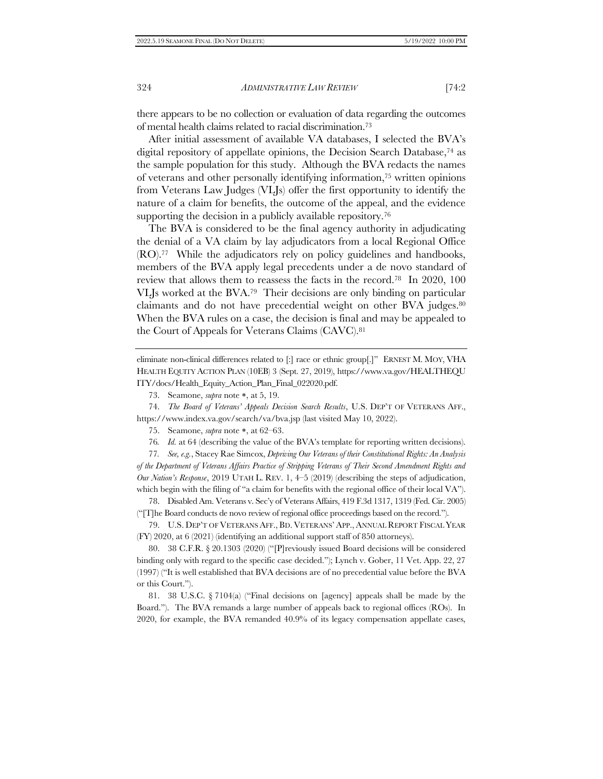there appears to be no collection or evaluation of data regarding the outcomes of mental health claims related to racial discrimination.<sup>73</sup>

After initial assessment of available VA databases, I selected the BVA's digital repository of appellate opinions, the Decision Search Database,<sup>74</sup> as the sample population for this study. Although the BVA redacts the names of veterans and other personally identifying information,<sup>75</sup> written opinions from Veterans Law Judges (VLJs) offer the first opportunity to identify the nature of a claim for benefits, the outcome of the appeal, and the evidence supporting the decision in a publicly available repository.<sup>76</sup>

The BVA is considered to be the final agency authority in adjudicating the denial of a VA claim by lay adjudicators from a local Regional Office (RO).77 While the adjudicators rely on policy guidelines and handbooks, members of the BVA apply legal precedents under a de novo standard of review that allows them to reassess the facts in the record.78 In 2020, 100 VLJs worked at the BVA.79 Their decisions are only binding on particular claimants and do not have precedential weight on other BVA judges.<sup>80</sup> When the BVA rules on a case, the decision is final and may be appealed to the Court of Appeals for Veterans Claims (CAVC).<sup>81</sup>

eliminate non-clinical differences related to [:] race or ethnic group[.]" ERNEST M. MOY, VHA HEALTH EQUITY ACTION PLAN (10EB) 3 (Sept. 27, 2019), https://www.va.gov/HEALTHEQU ITY/docs/Health\_Equity\_Action\_Plan\_Final\_022020.pdf.

74. *The Board of Veterans' Appeals Decision Search Results*, U.S. DEP'T OF VETERANS AFF., https://www.index.va.gov/search/va/bva.jsp (last visited May 10, 2022).

- 75. Seamone, *supra* note \*, at 62–63.
- 76*. Id.* at 64 (describing the value of the BVA's template for reporting written decisions).

77*. See, e.g.*, Stacey Rae Simcox, *Depriving Our Veterans of their Constitutional Rights: An Analysis of the Department of Veterans Affairs Practice of Stripping Veterans of Their Second Amendment Rights and Our Nation's Response*, 2019 UTAH L. REV. 1, 4–5 (2019) (describing the steps of adjudication, which begin with the filing of "a claim for benefits with the regional office of their local VA").

78. Disabled Am. Veterans v. Sec'y of Veterans Affairs, 419 F.3d 1317, 1319 (Fed. Cir. 2005) ("[T]he Board conducts de novo review of regional office proceedings based on the record.").

79. U.S. DEP'T OF VETERANS AFF., BD. VETERANS' APP., ANNUAL REPORT FISCAL YEAR (FY) 2020, at 6 (2021) (identifying an additional support staff of 850 attorneys).

80. 38 C.F.R. § 20.1303 (2020) ("[P]reviously issued Board decisions will be considered binding only with regard to the specific case decided."); Lynch v. Gober, 11 Vet. App. 22, 27 (1997) ("It is well established that BVA decisions are of no precedential value before the BVA or this Court.").

81. 38 U.S.C. § 7104(a) ("Final decisions on [agency] appeals shall be made by the Board."). The BVA remands a large number of appeals back to regional offices (ROs). In 2020, for example, the BVA remanded 40.9% of its legacy compensation appellate cases,

<sup>73.</sup> Seamone, *supra* note \*, at 5, 19.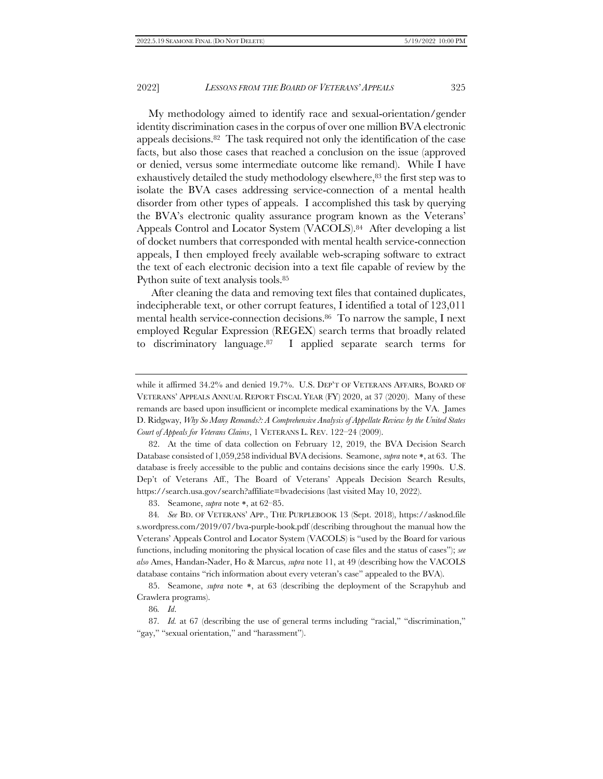My methodology aimed to identify race and sexual-orientation/gender identity discrimination cases in the corpus of over one million BVA electronic appeals decisions.82 The task required not only the identification of the case facts, but also those cases that reached a conclusion on the issue (approved or denied, versus some intermediate outcome like remand). While I have exhaustively detailed the study methodology elsewhere,<sup>83</sup> the first step was to isolate the BVA cases addressing service-connection of a mental health disorder from other types of appeals. I accomplished this task by querying the BVA's electronic quality assurance program known as the Veterans' Appeals Control and Locator System (VACOLS).<sup>84</sup> After developing a list of docket numbers that corresponded with mental health service-connection appeals, I then employed freely available web-scraping software to extract the text of each electronic decision into a text file capable of review by the Python suite of text analysis tools.<sup>85</sup>

After cleaning the data and removing text files that contained duplicates, indecipherable text, or other corrupt features, I identified a total of 123,011 mental health service-connection decisions.86 To narrow the sample, I next employed Regular Expression (REGEX) search terms that broadly related to discriminatory language.87 I applied separate search terms for

82. At the time of data collection on February 12, 2019, the BVA Decision Search Database consisted of 1,059,258 individual BVA decisions. Seamone, *supra* note \*, at 63. The database is freely accessible to the public and contains decisions since the early 1990s. U.S. Dep't of Veterans Aff., The Board of Veterans' Appeals Decision Search Results, https://search.usa.gov/search?affiliate=bvadecisions (last visited May 10, 2022).

83. Seamone, *supra* note \*, at 62–85.

84*. See* BD. OF VETERANS' APP., THE PURPLEBOOK 13 (Sept. 2018), https://asknod.file s.wordpress.com/2019/07/bva-purple-book.pdf (describing throughout the manual how the Veterans' Appeals Control and Locator System (VACOLS) is "used by the Board for various functions, including monitoring the physical location of case files and the status of cases"); *see also* Ames, Handan-Nader, Ho & Marcus, *supra* not[e 11,](#page-4-1) at 49 (describing how the VACOLS database contains "rich information about every veteran's case" appealed to the BVA).

85. Seamone, *supra* note \*, at 63 (describing the deployment of the Scrapyhub and Crawlera programs).

86*. Id*.

87*. Id.* at 67 (describing the use of general terms including "racial," "discrimination," "gay," "sexual orientation," and "harassment").

while it affirmed 34.2% and denied 19.7%. U.S. DEP'T OF VETERANS AFFAIRS, BOARD OF VETERANS' APPEALS ANNUAL REPORT FISCAL YEAR (FY) 2020, at 37 (2020). Many of these remands are based upon insufficient or incomplete medical examinations by the VA. James D. Ridgway, *Why So Many Remands?: A Comprehensive Analysis of Appellate Review by the United States Court of Appeals for Veterans Claims*, 1 VETERANS L. REV. 122–24 (2009).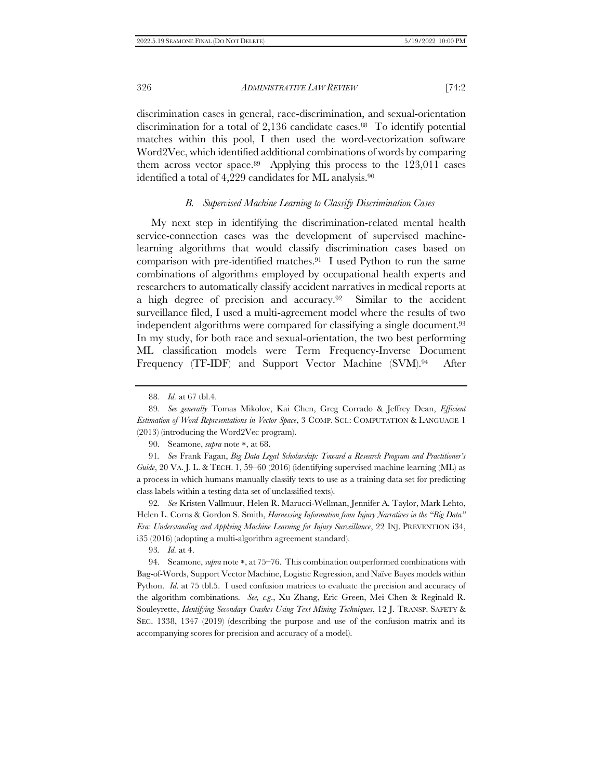discrimination cases in general, race-discrimination, and sexual-orientation discrimination for a total of 2,136 candidate cases.<sup>88</sup> To identify potential matches within this pool, I then used the word-vectorization software Word2Vec, which identified additional combinations of words by comparing them across vector space.89 Applying this process to the 123,011 cases identified a total of 4,229 candidates for ML analysis.<sup>90</sup>

## *B. Supervised Machine Learning to Classify Discrimination Cases*

<span id="page-17-0"></span>My next step in identifying the discrimination-related mental health service-connection cases was the development of supervised machinelearning algorithms that would classify discrimination cases based on comparison with pre-identified matches.91 I used Python to run the same combinations of algorithms employed by occupational health experts and researchers to automatically classify accident narratives in medical reports at a high degree of precision and accuracy.92 Similar to the accident surveillance filed, I used a multi-agreement model where the results of two independent algorithms were compared for classifying a single document.<sup>93</sup> In my study, for both race and sexual-orientation, the two best performing ML classification models were Term Frequency-Inverse Document Frequency (TF-IDF) and Support Vector Machine (SVM).<sup>94</sup> After

<sup>88</sup>*. Id.* at 67 tbl.4.

<sup>89</sup>*. See generally* Tomas Mikolov, Kai Chen, Greg Corrado & Jeffrey Dean, *Efficient Estimation of Word Representations in Vector Space*, 3 COMP. SCI.: COMPUTATION & LANGUAGE 1 (2013) (introducing the Word2Vec program).

<sup>90.</sup> Seamone, *supra* note \*, at 68.

<sup>91</sup>*. See* Frank Fagan, *Big Data Legal Scholarship: Toward a Research Program and Practitioner's Guide*, 20 VA. J. L. & TECH. 1, 59–60 (2016) (identifying supervised machine learning (ML) as a process in which humans manually classify texts to use as a training data set for predicting class labels within a testing data set of unclassified texts).

<sup>92</sup>*. See* Kristen Vallmuur, Helen R. Marucci-Wellman, Jennifer A. Taylor, Mark Lehto, Helen L. Corns & Gordon S. Smith, *Harnessing Information from Injury Narratives in the "Big Data" Era: Understanding and Applying Machine Learning for Injury Surveillance*, 22 INJ. PREVENTION i34, i35 (2016) (adopting a multi-algorithm agreement standard).

<sup>93</sup>*. Id.* at 4.

<sup>94.</sup> Seamone, *supra* note \*, at 75–76. This combination outperformed combinations with Bag-of-Words, Support Vector Machine, Logistic Regression, and Naïve Bayes models within Python. *Id*. at 75 tbl.5. I used confusion matrices to evaluate the precision and accuracy of the algorithm combinations. *See, e.g*., Xu Zhang, Eric Green, Mei Chen & Reginald R. Souleyrette, *Identifying Secondary Crashes Using Text Mining Techniques*, 12 J. TRANSP. SAFETY & SEC. 1338, 1347 (2019) (describing the purpose and use of the confusion matrix and its accompanying scores for precision and accuracy of a model).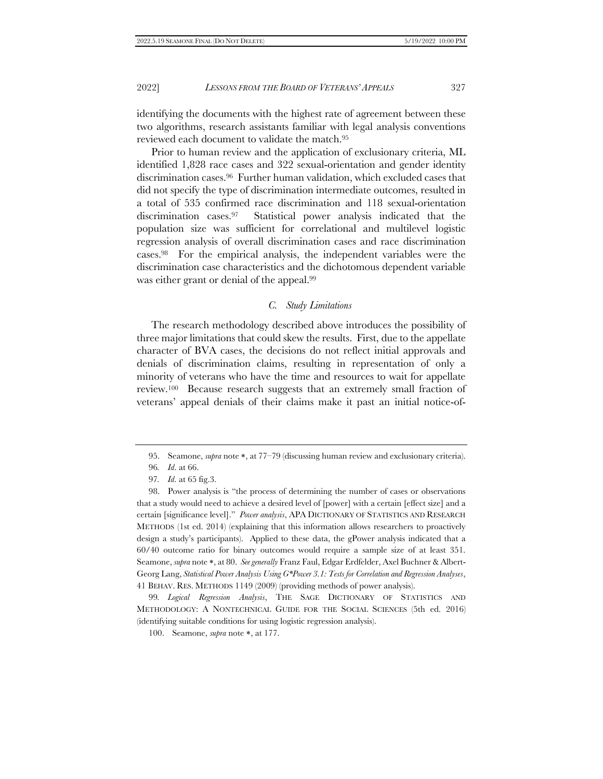identifying the documents with the highest rate of agreement between these two algorithms, research assistants familiar with legal analysis conventions reviewed each document to validate the match.<sup>95</sup>

Prior to human review and the application of exclusionary criteria, ML identified 1,828 race cases and 322 sexual-orientation and gender identity discrimination cases.96 Further human validation, which excluded cases that did not specify the type of discrimination intermediate outcomes, resulted in a total of 535 confirmed race discrimination and 118 sexual-orientation discrimination cases.97 Statistical power analysis indicated that the population size was sufficient for correlational and multilevel logistic regression analysis of overall discrimination cases and race discrimination cases.98 For the empirical analysis, the independent variables were the discrimination case characteristics and the dichotomous dependent variable was either grant or denial of the appeal.<sup>99</sup>

# *C. Study Limitations*

The research methodology described above introduces the possibility of three major limitations that could skew the results. First, due to the appellate character of BVA cases, the decisions do not reflect initial approvals and denials of discrimination claims, resulting in representation of only a minority of veterans who have the time and resources to wait for appellate review.100 Because research suggests that an extremely small fraction of veterans' appeal denials of their claims make it past an initial notice-of-

99*. Logical Regression Analysis*, THE SAGE DICTIONARY OF STATISTICS AND METHODOLOGY: A NONTECHNICAL GUIDE FOR THE SOCIAL SCIENCES (5th ed. 2016) (identifying suitable conditions for using logistic regression analysis).

<sup>95.</sup> Seamone, *supra* note \*, at 77–79 (discussing human review and exclusionary criteria).

<sup>96</sup>*. Id*. at 66.

<sup>97</sup>*. Id*. at 65 fig.3.

<sup>98.</sup> Power analysis is "the process of determining the number of cases or observations that a study would need to achieve a desired level of [power] with a certain [effect size] and a certain [significance level]." *Power analysis*, APA DICTIONARY OF STATISTICS AND RESEARCH METHODS (1st ed. 2014) (explaining that this information allows researchers to proactively design a study's participants). Applied to these data, the gPower analysis indicated that a 60/40 outcome ratio for binary outcomes would require a sample size of at least 351. Seamone, *supra* note \*, at 80. *See generally* Franz Faul, Edgar Erdfelder, Axel Buchner & Albert-Georg Lang, *Statistical Power Analysis Using G\*Power 3.1: Tests for Correlation and Regression Analyses*, 41 BEHAV. RES. METHODS 1149 (2009) (providing methods of power analysis).

<sup>100.</sup> Seamone, *supra* note \*, at 177.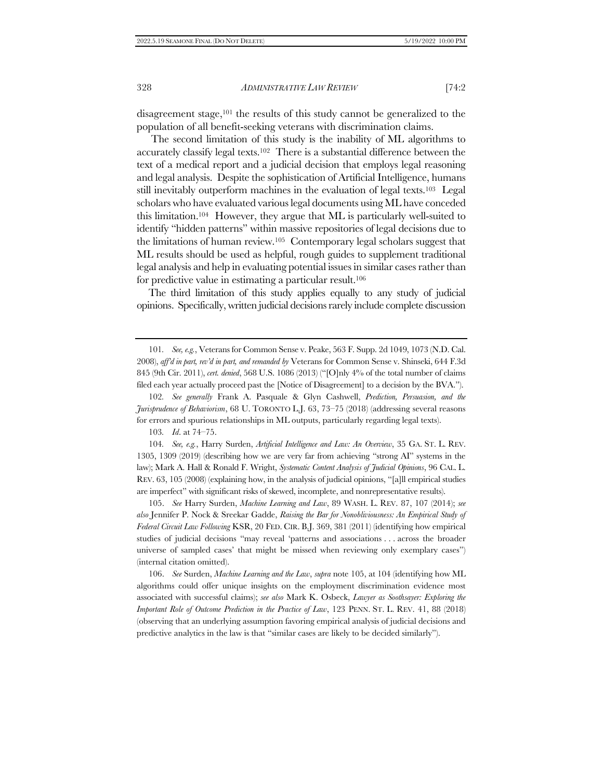disagreement stage, <sup>101</sup> the results of this study cannot be generalized to the population of all benefit-seeking veterans with discrimination claims.

<span id="page-19-1"></span>The second limitation of this study is the inability of ML algorithms to accurately classify legal texts.102 There is a substantial difference between the text of a medical report and a judicial decision that employs legal reasoning and legal analysis. Despite the sophistication of Artificial Intelligence, humans still inevitably outperform machines in the evaluation of legal texts.103 Legal scholars who have evaluated various legal documents using ML have conceded this limitation.104 However, they argue that ML is particularly well-suited to identify "hidden patterns" within massive repositories of legal decisions due to the limitations of human review.105 Contemporary legal scholars suggest that ML results should be used as helpful, rough guides to supplement traditional legal analysis and help in evaluating potential issues in similar cases rather than for predictive value in estimating a particular result.<sup>106</sup>

<span id="page-19-0"></span>The third limitation of this study applies equally to any study of judicial opinions. Specifically, written judicial decisions rarely include complete discussion

103*. Id*. at 74–75.

104*. See, e.g.*, Harry Surden, *Artificial Intelligence and Law: An Overview*, 35 GA. ST. L. REV. 1305, 1309 (2019) (describing how we are very far from achieving "strong AI" systems in the law); Mark A. Hall & Ronald F. Wright, *Systematic Content Analysis of Judicial Opinions*, 96 CAL. L. REV. 63, 105 (2008) (explaining how, in the analysis of judicial opinions, "[a]ll empirical studies are imperfect" with significant risks of skewed, incomplete, and nonrepresentative results).

105. *See* Harry Surden, *Machine Learning and Law*, 89 WASH. L. REV. 87, 107 (2014); *see also* Jennifer P. Nock & Sreekar Gadde, *Raising the Bar for Nonobliviousness: An Empirical Study of Federal Circuit Law Following* KSR, 20 FED. CIR. B.J. 369, 381 (2011) (identifying how empirical studies of judicial decisions "may reveal 'patterns and associations . . . across the broader universe of sampled cases' that might be missed when reviewing only exemplary cases") (internal citation omitted).

106. *See* Surden, *Machine Learning and the Law*, *supra* not[e 105,](#page-19-0) at 104 (identifying how ML algorithms could offer unique insights on the employment discrimination evidence most associated with successful claims); *see also* Mark K. Osbeck, *Lawyer as Soothsayer: Exploring the Important Role of Outcome Prediction in the Practice of Law*, 123 PENN. ST. L. REV. 41, 88 (2018) (observing that an underlying assumption favoring empirical analysis of judicial decisions and predictive analytics in the law is that "similar cases are likely to be decided similarly").

<sup>101</sup>*. See, e.g.*, Veterans for Common Sense v. Peake, 563 F. Supp. 2d 1049, 1073 (N.D. Cal. 2008), *aff'd in part, rev'd in part, and remanded by* Veterans for Common Sense v. Shinseki, 644 F.3d 845 (9th Cir. 2011), *cert. denied*, 568 U.S. 1086 (2013) ("[O]nly 4% of the total number of claims filed each year actually proceed past the [Notice of Disagreement] to a decision by the BVA.").

<sup>102</sup>*. See generally* Frank A. Pasquale & Glyn Cashwell, *Prediction, Persuasion, and the Jurisprudence of Behaviorism*, 68 U. TORONTO L.J. 63, 73–75 (2018) (addressing several reasons for errors and spurious relationships in ML outputs, particularly regarding legal texts).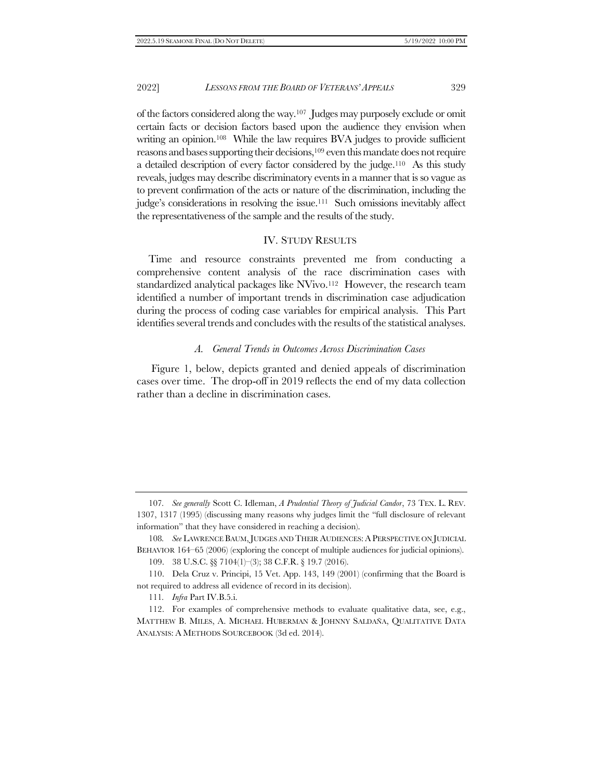of the factors considered along the way.107 Judges may purposely exclude or omit certain facts or decision factors based upon the audience they envision when writing an opinion.<sup>108</sup> While the law requires BVA judges to provide sufficient reasons and bases supporting their decisions,<sup>109</sup> even this mandate does not require a detailed description of every factor considered by the judge.110 As this study reveals, judges may describe discriminatory events in a manner that is so vague as to prevent confirmation of the acts or nature of the discrimination, including the judge's considerations in resolving the issue.111 Such omissions inevitably affect the representativeness of the sample and the results of the study.

# IV. STUDY RESULTS

<span id="page-20-0"></span>Time and resource constraints prevented me from conducting a comprehensive content analysis of the race discrimination cases with standardized analytical packages like NVivo.<sup>112</sup> However, the research team identified a number of important trends in discrimination case adjudication during the process of coding case variables for empirical analysis. This Part identifies several trends and concludes with the results of the statistical analyses.

#### *A. General Trends in Outcomes Across Discrimination Cases*

Figure 1, below, depicts granted and denied appeals of discrimination cases over time. The drop-off in 2019 reflects the end of my data collection rather than a decline in discrimination cases.

<sup>107</sup>*. See generally* Scott C. Idleman, *A Prudential Theory of Judicial Candor*, 73 TEX. L. REV. 1307, 1317 (1995) (discussing many reasons why judges limit the "full disclosure of relevant information" that they have considered in reaching a decision).

<sup>108</sup>*. See* LAWRENCE BAUM,JUDGES AND THEIR AUDIENCES:APERSPECTIVE ON JUDICIAL BEHAVIOR 164–65 (2006) (exploring the concept of multiple audiences for judicial opinions).

<sup>109.</sup> 38 U.S.C. §§ 7104(1)–(3); 38 C.F.R. § 19.7 (2016).

<sup>110.</sup> Dela Cruz v. Principi, 15 Vet. App. 143, 149 (2001) (confirming that the Board is not required to address all evidence of record in its decision).

<sup>111</sup>*. Infra* Part IV.[B.5](#page-30-0)[.i.](#page-30-1)

<sup>112.</sup> For examples of comprehensive methods to evaluate qualitative data, see, e.g., MATTHEW B. MILES, A. MICHAEL HUBERMAN & JOHNNY SALDAÑA, QUALITATIVE DATA ANALYSIS: A METHODS SOURCEBOOK (3d ed. 2014).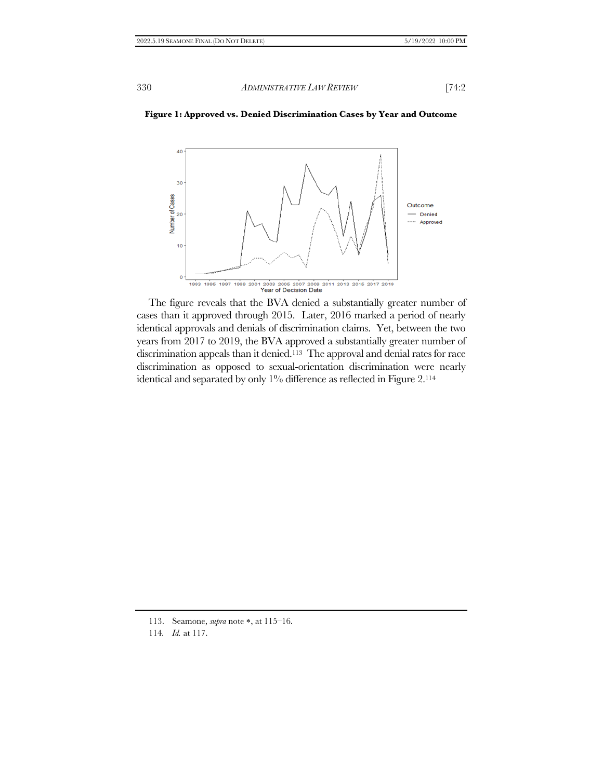## **Figure 1: Approved vs. Denied Discrimination Cases by Year and Outcome**



The figure reveals that the BVA denied a substantially greater number of cases than it approved through 2015. Later, 2016 marked a period of nearly identical approvals and denials of discrimination claims. Yet, between the two years from 2017 to 2019, the BVA approved a substantially greater number of discrimination appeals than it denied.113 The approval and denial rates for race discrimination as opposed to sexual-orientation discrimination were nearly identical and separated by only 1% difference as reflected in Figure 2.<sup>114</sup>

<sup>113.</sup> Seamone, *supra* note \*, at 115–16.

<sup>114</sup>*. Id.* at 117.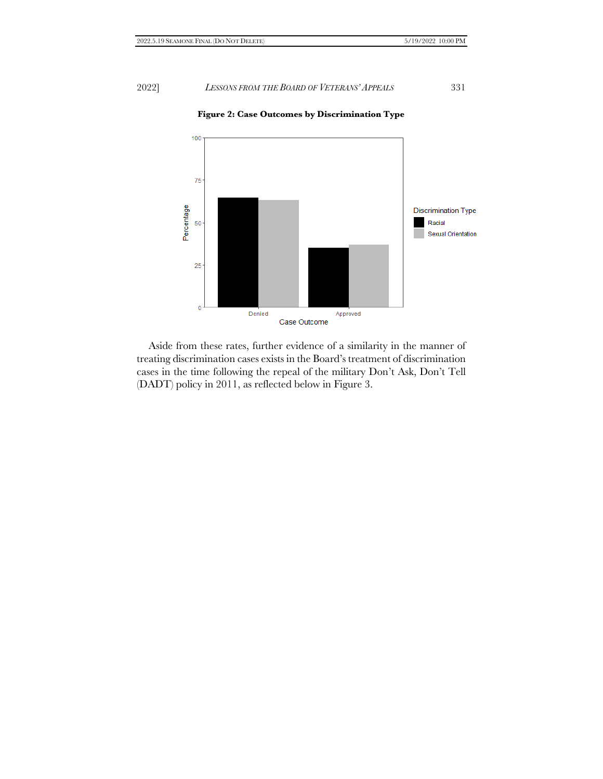

**Figure 2: Case Outcomes by Discrimination Type**

Aside from these rates, further evidence of a similarity in the manner of treating discrimination cases exists in the Board's treatment of discrimination cases in the time following the repeal of the military Don't Ask, Don't Tell (DADT) policy in 2011, as reflected below in Figure 3.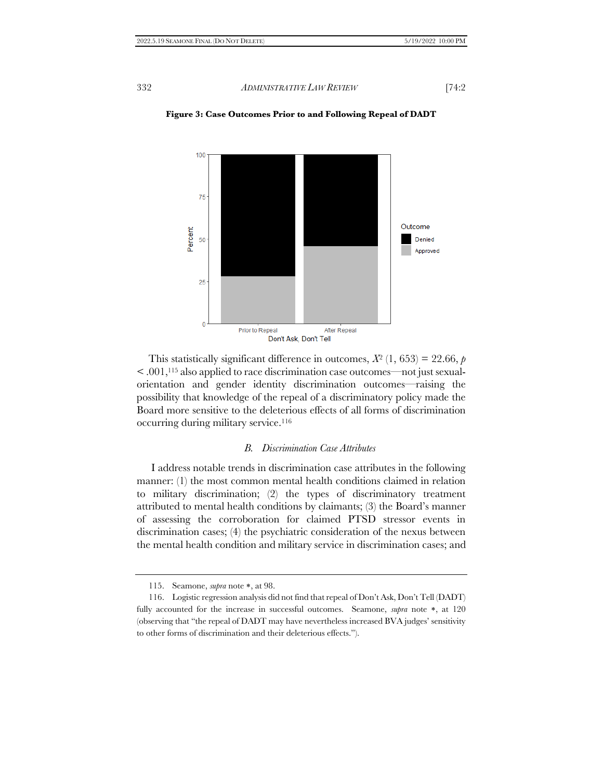

**Figure 3: Case Outcomes Prior to and Following Repeal of DADT** 

This statistically significant difference in outcomes,  $X^2$  (1, 653) = 22.66, *p*  $\leq 0.001$ ,<sup>115</sup> also applied to race discrimination case outcomes—not just sexualorientation and gender identity discrimination outcomes—raising the possibility that knowledge of the repeal of a discriminatory policy made the Board more sensitive to the deleterious effects of all forms of discrimination occurring during military service.<sup>116</sup>

# *B. Discrimination Case Attributes*

I address notable trends in discrimination case attributes in the following manner: (1) the most common mental health conditions claimed in relation to military discrimination; (2) the types of discriminatory treatment attributed to mental health conditions by claimants; (3) the Board's manner of assessing the corroboration for claimed PTSD stressor events in discrimination cases; (4) the psychiatric consideration of the nexus between the mental health condition and military service in discrimination cases; and

<sup>115.</sup> Seamone, *supra* note \*, at 98.

<sup>116.</sup> Logistic regression analysis did not find that repeal of Don't Ask, Don't Tell (DADT) fully accounted for the increase in successful outcomes. Seamone, *supra* note \*, at 120 (observing that "the repeal of DADT may have nevertheless increased BVA judges' sensitivity to other forms of discrimination and their deleterious effects.").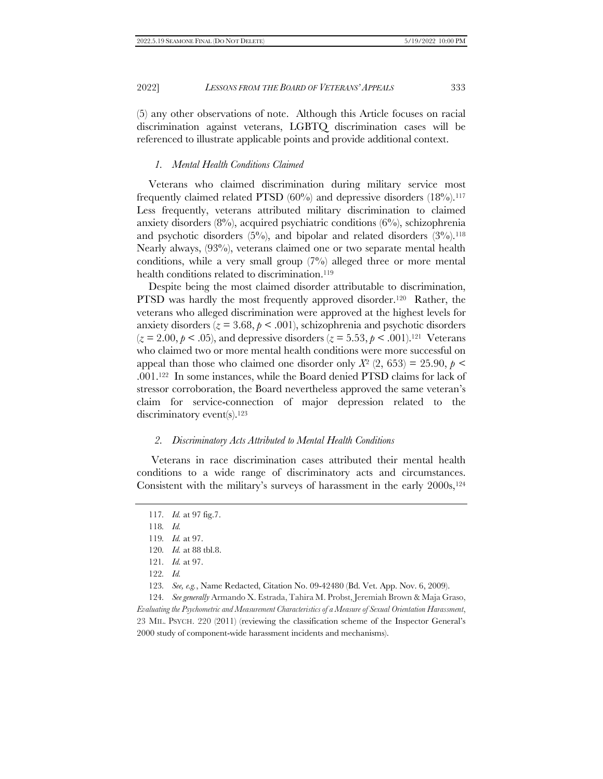(5) any other observations of note. Although this Article focuses on racial discrimination against veterans, LGBTQ discrimination cases will be referenced to illustrate applicable points and provide additional context.

#### <span id="page-24-0"></span>*1. Mental Health Conditions Claimed*

Veterans who claimed discrimination during military service most frequently claimed related PTSD  $(60\%)$  and depressive disorders  $(18\%)$ .<sup>117</sup> Less frequently, veterans attributed military discrimination to claimed anxiety disorders  $(8\%)$ , acquired psychiatric conditions  $(6\%)$ , schizophrenia and psychotic disorders  $(5\%)$ , and bipolar and related disorders  $(3\%)$ .<sup>118</sup> Nearly always, (93%), veterans claimed one or two separate mental health conditions, while a very small group (7%) alleged three or more mental health conditions related to discrimination.<sup>119</sup>

Despite being the most claimed disorder attributable to discrimination, PTSD was hardly the most frequently approved disorder.<sup>120</sup> Rather, the veterans who alleged discrimination were approved at the highest levels for anxiety disorders ( $z = 3.68$ ,  $p < .001$ ), schizophrenia and psychotic disorders  $(z = 2.00, p < .05)$ , and depressive disorders  $(z = 5.53, p < .001)$ .<sup>121</sup> Veterans who claimed two or more mental health conditions were more successful on appeal than those who claimed one disorder only  $X^2$  (2, 653) = 25.90,  $p$  < .001.122 In some instances, while the Board denied PTSD claims for lack of stressor corroboration, the Board nevertheless approved the same veteran's claim for service-connection of major depression related to the discriminatory event(s).<sup>123</sup>

#### *2. Discriminatory Acts Attributed to Mental Health Conditions*

Veterans in race discrimination cases attributed their mental health conditions to a wide range of discriminatory acts and circumstances. Consistent with the military's surveys of harassment in the early  $2000s$ ,<sup>124</sup>

124*. See generally* Armando X. Estrada, Tahira M. Probst, Jeremiah Brown & Maja Graso, *Evaluating the Psychometric and Measurement Characteristics of a Measure of Sexual Orientation Harassment*, 23 MIL. PSYCH. 220 (2011) (reviewing the classification scheme of the Inspector General's 2000 study of component-wide harassment incidents and mechanisms).

<sup>117</sup>*. Id.* at 97 fig.7.

<sup>118</sup>*. Id.*

<sup>119</sup>*. Id.* at 97.

<sup>120</sup>*. Id.* at 88 tbl.8.

<sup>121</sup>*. Id.* at 97.

<sup>122</sup>*. Id.*

<sup>123</sup>*. See, e.g.*, Name Redacted, Citation No. 09-42480 (Bd. Vet. App. Nov. 6, 2009).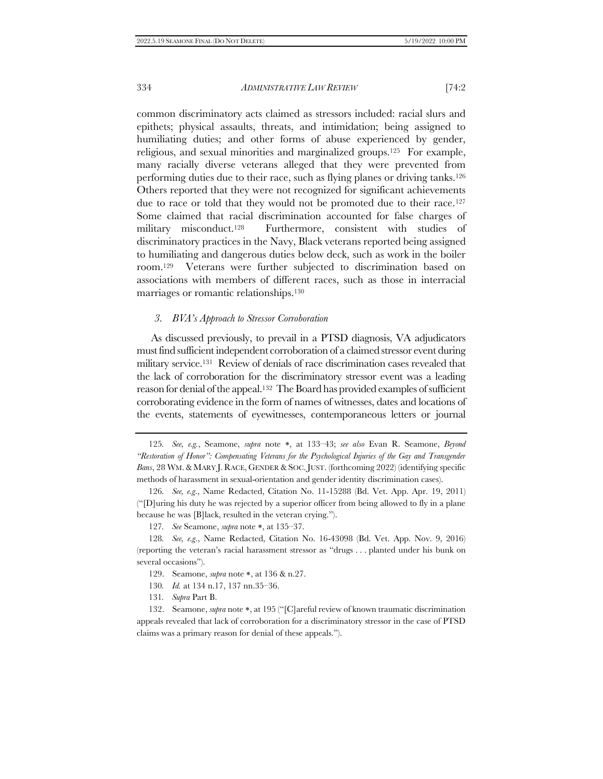<span id="page-25-0"></span>common discriminatory acts claimed as stressors included: racial slurs and epithets; physical assaults, threats, and intimidation; being assigned to humiliating duties; and other forms of abuse experienced by gender, religious, and sexual minorities and marginalized groups.125 For example, many racially diverse veterans alleged that they were prevented from performing duties due to their race, such as flying planes or driving tanks.<sup>126</sup> Others reported that they were not recognized for significant achievements due to race or told that they would not be promoted due to their race.<sup>127</sup> Some claimed that racial discrimination accounted for false charges of military misconduct.<sup>128</sup> Furthermore, consistent with studies of discriminatory practices in the Navy, Black veterans reported being assigned to humiliating and dangerous duties below deck, such as work in the boiler room.129 Veterans were further subjected to discrimination based on associations with members of different races, such as those in interracial marriages or romantic relationships.<sup>130</sup>

#### *3. BVA's Approach to Stressor Corroboration*

As discussed previously, to prevail in a PTSD diagnosis, VA adjudicators must find sufficient independent corroboration of a claimed stressor event during military service.131 Review of denials of race discrimination cases revealed that the lack of corroboration for the discriminatory stressor event was a leading reason for denial of the appeal.132 The Board has provided examples of sufficient corroborating evidence in the form of names of witnesses, dates and locations of the events, statements of eyewitnesses, contemporaneous letters or journal

- 130*. Id.* at 134 n.17, 137 nn.35–36.
- 131*. Supra* Par[t B.](#page-17-0)

<sup>125.</sup> *See, e.g.*, Seamone, *supra* note \*, at 133-43; see also Evan R. Seamone, Beyond *"Restoration of Honor": Compensating Veterans for the Psychological Injuries of the Gay and Transgender Bans*, 28 WM. & MARY J. RACE, GENDER &SOC.JUST. (forthcoming 2022) (identifying specific methods of harassment in sexual-orientation and gender identity discrimination cases).

<sup>126</sup>*. See, e.g*., Name Redacted, Citation No. 11-15288 (Bd. Vet. App. Apr. 19, 2011) ("[D]uring his duty he was rejected by a superior officer from being allowed to fly in a plane because he was [B]lack, resulted in the veteran crying.").

<sup>127.</sup> *See* Seamone, *supra* note \*, at 135-37.

<sup>128</sup>*. See, e.g*., Name Redacted, Citation No. 16-43098 (Bd. Vet. App. Nov. 9, 2016) (reporting the veteran's racial harassment stressor as "drugs . . . planted under his bunk on several occasions").

<sup>129.</sup> Seamone, *supra* note \*, at 136 & n.27.

<sup>132.</sup> Seamone, *supra* note \*, at 195 ("[C]areful review of known traumatic discrimination appeals revealed that lack of corroboration for a discriminatory stressor in the case of PTSD claims was a primary reason for denial of these appeals.").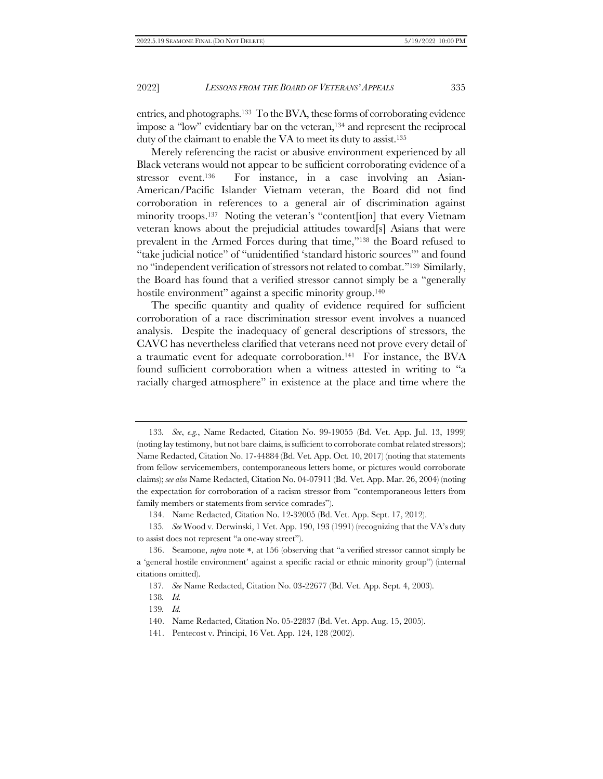entries, and photographs.133 To the BVA, these forms of corroborating evidence impose a "low" evidentiary bar on the veteran,<sup>134</sup> and represent the reciprocal duty of the claimant to enable the VA to meet its duty to assist.<sup>135</sup>

Merely referencing the racist or abusive environment experienced by all Black veterans would not appear to be sufficient corroborating evidence of a stressor event.<sup>136</sup> For instance, in a case involving an Asian-American/Pacific Islander Vietnam veteran, the Board did not find corroboration in references to a general air of discrimination against minority troops.137 Noting the veteran's "content[ion] that every Vietnam veteran knows about the prejudicial attitudes toward[s] Asians that were prevalent in the Armed Forces during that time,"<sup>138</sup> the Board refused to "take judicial notice" of "unidentified 'standard historic sources'" and found no "independent verification of stressors not related to combat."139 Similarly, the Board has found that a verified stressor cannot simply be a "generally hostile environment" against a specific minority group.<sup>140</sup>

The specific quantity and quality of evidence required for sufficient corroboration of a race discrimination stressor event involves a nuanced analysis. Despite the inadequacy of general descriptions of stressors, the CAVC has nevertheless clarified that veterans need not prove every detail of a traumatic event for adequate corroboration.<sup>141</sup> For instance, the BVA found sufficient corroboration when a witness attested in writing to "a racially charged atmosphere" in existence at the place and time where the

<sup>133</sup>*. See*, *e.g.*, Name Redacted, Citation No. 99-19055 (Bd. Vet. App. Jul. 13, 1999) (noting lay testimony, but not bare claims, is sufficient to corroborate combat related stressors); Name Redacted, Citation No. 17-44884 (Bd. Vet. App. Oct. 10, 2017) (noting that statements from fellow servicemembers, contemporaneous letters home, or pictures would corroborate claims); *see also* Name Redacted, Citation No. 04-07911 (Bd. Vet. App. Mar. 26, 2004) (noting the expectation for corroboration of a racism stressor from "contemporaneous letters from family members or statements from service comrades").

<sup>134.</sup> Name Redacted, Citation No. 12-32005 (Bd. Vet. App. Sept. 17, 2012).

<sup>135</sup>*. See* Wood v. Derwinski, 1 Vet. App. 190, 193 (1991) (recognizing that the VA's duty to assist does not represent "a one-way street").

<sup>136.</sup> Seamone, *supra* note \*, at 156 (observing that "a verified stressor cannot simply be a 'general hostile environment' against a specific racial or ethnic minority group") (internal citations omitted).

<sup>137</sup>*. See* Name Redacted, Citation No. 03-22677 (Bd. Vet. App. Sept. 4, 2003).

<sup>138</sup>*. Id.*

<sup>139</sup>*. Id.*

<sup>140.</sup> Name Redacted, Citation No. 05-22837 (Bd. Vet. App. Aug. 15, 2005).

<sup>141.</sup> Pentecost v. Principi, 16 Vet. App. 124, 128 (2002).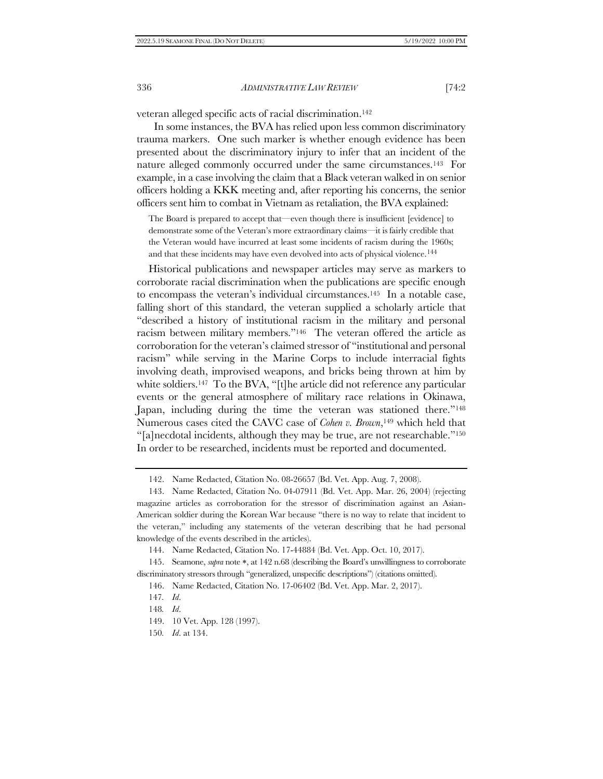veteran alleged specific acts of racial discrimination.<sup>142</sup>

 In some instances, the BVA has relied upon less common discriminatory trauma markers. One such marker is whether enough evidence has been presented about the discriminatory injury to infer that an incident of the nature alleged commonly occurred under the same circumstances.143 For example, in a case involving the claim that a Black veteran walked in on senior officers holding a KKK meeting and, after reporting his concerns, the senior officers sent him to combat in Vietnam as retaliation, the BVA explained:

The Board is prepared to accept that—even though there is insufficient [evidence] to demonstrate some of the Veteran's more extraordinary claims—it is fairly credible that the Veteran would have incurred at least some incidents of racism during the 1960s; and that these incidents may have even devolved into acts of physical violence.<sup>144</sup>

Historical publications and newspaper articles may serve as markers to corroborate racial discrimination when the publications are specific enough to encompass the veteran's individual circumstances.<sup>145</sup> In a notable case, falling short of this standard, the veteran supplied a scholarly article that "described a history of institutional racism in the military and personal racism between military members."146 The veteran offered the article as corroboration for the veteran's claimed stressor of "institutional and personal racism" while serving in the Marine Corps to include interracial fights involving death, improvised weapons, and bricks being thrown at him by white soldiers.<sup>147</sup> To the BVA, "[t]he article did not reference any particular events or the general atmosphere of military race relations in Okinawa, Japan, including during the time the veteran was stationed there."<sup>148</sup> Numerous cases cited the CAVC case of *Cohen v. Brown*,<sup>149</sup> which held that "[a]necdotal incidents, although they may be true, are not researchable."<sup>150</sup> In order to be researched, incidents must be reported and documented.

<sup>142.</sup> Name Redacted, Citation No. 08-26657 (Bd. Vet. App. Aug. 7, 2008).

<sup>143.</sup> Name Redacted, Citation No. 04-07911 (Bd. Vet. App. Mar. 26, 2004) (rejecting magazine articles as corroboration for the stressor of discrimination against an Asian-American soldier during the Korean War because "there is no way to relate that incident to the veteran," including any statements of the veteran describing that he had personal knowledge of the events described in the articles).

<sup>144.</sup> Name Redacted, Citation No. 17-44884 (Bd. Vet. App. Oct. 10, 2017).

<sup>145.</sup> Seamone, *supra* note \*, at 142 n.68 (describing the Board's unwillingness to corroborate discriminatory stressors through "generalized, unspecific descriptions") (citations omitted).

<sup>146.</sup> Name Redacted, Citation No. 17-06402 (Bd. Vet. App. Mar. 2, 2017).

<sup>147</sup>*. Id*.

<sup>148</sup>*. Id*.

<sup>149.</sup> 10 Vet. App. 128 (1997).

<sup>150</sup>*. Id*. at 134.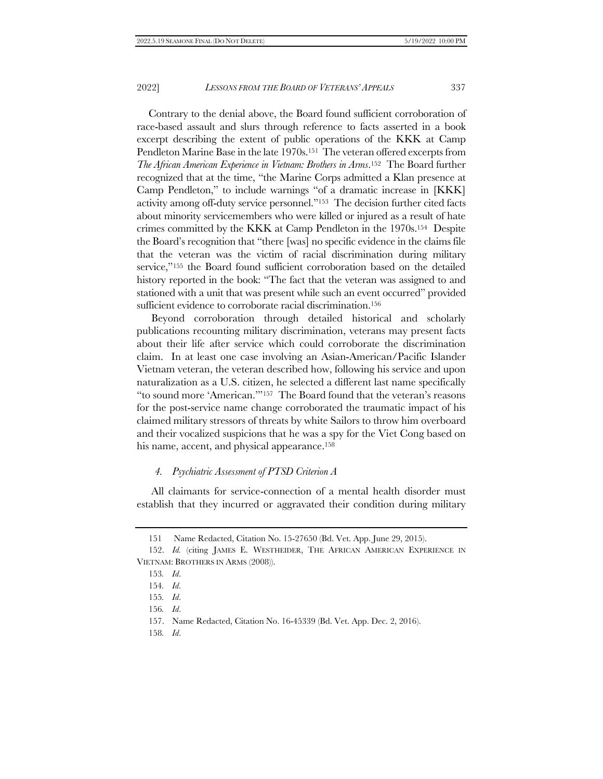Contrary to the denial above, the Board found sufficient corroboration of race-based assault and slurs through reference to facts asserted in a book excerpt describing the extent of public operations of the KKK at Camp Pendleton Marine Base in the late 1970s.<sup>151</sup> The veteran offered excerpts from *The African American Experience in Vietnam: Brothers in Arms*. <sup>152</sup> The Board further recognized that at the time, "the Marine Corps admitted a Klan presence at Camp Pendleton," to include warnings "of a dramatic increase in [KKK] activity among off-duty service personnel."153 The decision further cited facts about minority servicemembers who were killed or injured as a result of hate crimes committed by the KKK at Camp Pendleton in the 1970s.154 Despite the Board's recognition that "there [was] no specific evidence in the claims file that the veteran was the victim of racial discrimination during military service,"<sup>155</sup> the Board found sufficient corroboration based on the detailed history reported in the book: "The fact that the veteran was assigned to and stationed with a unit that was present while such an event occurred" provided sufficient evidence to corroborate racial discrimination.<sup>156</sup>

Beyond corroboration through detailed historical and scholarly publications recounting military discrimination, veterans may present facts about their life after service which could corroborate the discrimination claim. In at least one case involving an Asian-American/Pacific Islander Vietnam veteran, the veteran described how, following his service and upon naturalization as a U.S. citizen, he selected a different last name specifically "to sound more 'American.'"157 The Board found that the veteran's reasons for the post-service name change corroborated the traumatic impact of his claimed military stressors of threats by white Sailors to throw him overboard and their vocalized suspicions that he was a spy for the Viet Cong based on his name, accent, and physical appearance.<sup>158</sup>

#### *4. Psychiatric Assessment of PTSD Criterion A*

All claimants for service-connection of a mental health disorder must establish that they incurred or aggravated their condition during military

158*. Id*.

<sup>151</sup> Name Redacted, Citation No. 15-27650 (Bd. Vet. App. June 29, 2015).

<sup>152.</sup> *Id.* (citing JAMES E. WESTHEIDER, THE AFRICAN AMERICAN EXPERIENCE IN VIETNAM: BROTHERS IN ARMS (2008)).

<sup>153</sup>*. Id*.

<sup>154</sup>*. Id*.

<sup>155</sup>*. Id*.

<sup>156</sup>*. Id*.

<sup>157.</sup> Name Redacted, Citation No. 16-45339 (Bd. Vet. App. Dec. 2, 2016).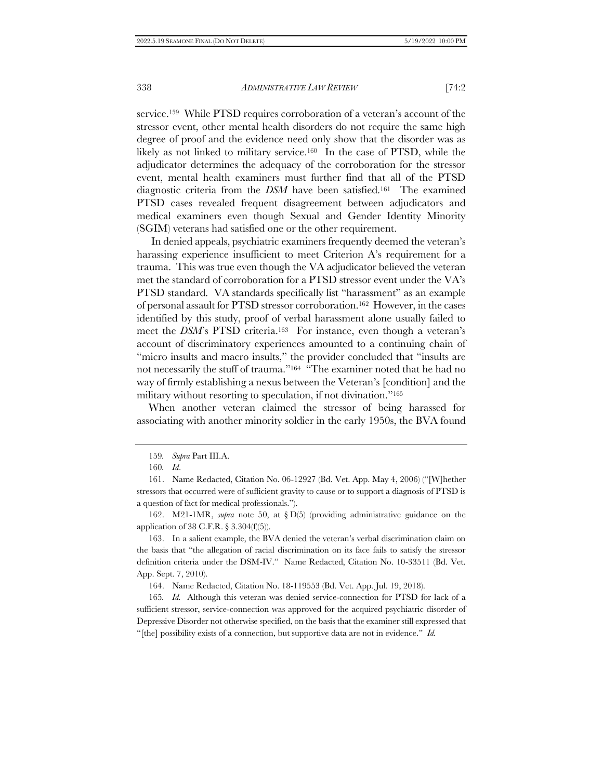service.159 While PTSD requires corroboration of a veteran's account of the stressor event, other mental health disorders do not require the same high degree of proof and the evidence need only show that the disorder was as likely as not linked to military service.160 In the case of PTSD, while the adjudicator determines the adequacy of the corroboration for the stressor event, mental health examiners must further find that all of the PTSD diagnostic criteria from the *DSM* have been satisfied.161 The examined PTSD cases revealed frequent disagreement between adjudicators and medical examiners even though Sexual and Gender Identity Minority (SGIM) veterans had satisfied one or the other requirement.

In denied appeals, psychiatric examiners frequently deemed the veteran's harassing experience insufficient to meet Criterion A's requirement for a trauma. This was true even though the VA adjudicator believed the veteran met the standard of corroboration for a PTSD stressor event under the VA's PTSD standard. VA standards specifically list "harassment" as an example of personal assault for PTSD stressor corroboration.162 However, in the cases identified by this study, proof of verbal harassment alone usually failed to meet the *DSM*'s PTSD criteria.<sup>163</sup> For instance, even though a veteran's account of discriminatory experiences amounted to a continuing chain of "micro insults and macro insults," the provider concluded that "insults are not necessarily the stuff of trauma."<sup>164</sup> "The examiner noted that he had no way of firmly establishing a nexus between the Veteran's [condition] and the military without resorting to speculation, if not divination."<sup>165</sup>

When another veteran claimed the stressor of being harassed for associating with another minority soldier in the early 1950s, the BVA found

162. M21-1MR, *supra* note [50,](#page-10-0) at § D(5) (providing administrative guidance on the application of 38 C.F.R. § 3.304(f)(5)).

163. In a salient example, the BVA denied the veteran's verbal discrimination claim on the basis that "the allegation of racial discrimination on its face fails to satisfy the stressor definition criteria under the DSM-IV." Name Redacted, Citation No. 10-33511 (Bd. Vet. App. Sept. 7, 2010).

164. Name Redacted, Citation No. 18-119553 (Bd. Vet. App. Jul. 19, 2018).

165*. Id.* Although this veteran was denied service-connection for PTSD for lack of a sufficient stressor, service-connection was approved for the acquired psychiatric disorder of Depressive Disorder not otherwise specified, on the basis that the examiner still expressed that "[the] possibility exists of a connection, but supportive data are not in evidence." *Id.*

<sup>159</sup>*. Supra* Part II[I.A.](#page-14-0)

<sup>160</sup>*. Id*.

<sup>161.</sup> Name Redacted, Citation No. 06-12927 (Bd. Vet. App. May 4, 2006) ("[W]hether stressors that occurred were of sufficient gravity to cause or to support a diagnosis of PTSD is a question of fact for medical professionals.").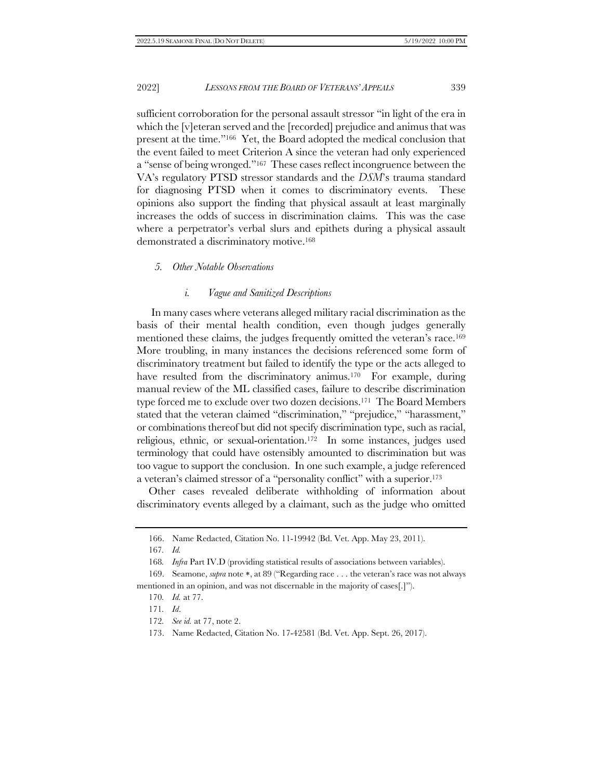sufficient corroboration for the personal assault stressor "in light of the era in which the [v]eteran served and the [recorded] prejudice and animus that was present at the time."166 Yet, the Board adopted the medical conclusion that the event failed to meet Criterion A since the veteran had only experienced a "sense of being wronged."167 These cases reflect incongruence between the VA's regulatory PTSD stressor standards and the *DSM*'s trauma standard for diagnosing PTSD when it comes to discriminatory events. These opinions also support the finding that physical assault at least marginally increases the odds of success in discrimination claims. This was the case where a perpetrator's verbal slurs and epithets during a physical assault demonstrated a discriminatory motive.<sup>168</sup>

### <span id="page-30-1"></span><span id="page-30-0"></span>*5. Other Notable Observations*

#### *i. Vague and Sanitized Descriptions*

In many cases where veterans alleged military racial discrimination as the basis of their mental health condition, even though judges generally mentioned these claims, the judges frequently omitted the veteran's race.<sup>169</sup> More troubling, in many instances the decisions referenced some form of discriminatory treatment but failed to identify the type or the acts alleged to have resulted from the discriminatory animus.<sup>170</sup> For example, during manual review of the ML classified cases, failure to describe discrimination type forced me to exclude over two dozen decisions.171 The Board Members stated that the veteran claimed "discrimination," "prejudice," "harassment," or combinations thereof but did not specify discrimination type, such as racial, religious, ethnic, or sexual-orientation.172 In some instances, judges used terminology that could have ostensibly amounted to discrimination but was too vague to support the conclusion. In one such example, a judge referenced a veteran's claimed stressor of a "personality conflict" with a superior.<sup>173</sup>

Other cases revealed deliberate withholding of information about discriminatory events alleged by a claimant, such as the judge who omitted

167*. Id.*

- 170*. Id.* at 77.
- 171*. Id*.
- 172*. See id.* at 77, note 2.

<sup>166.</sup> Name Redacted, Citation No. 11-19942 (Bd. Vet. App. May 23, 2011).

<sup>168</sup>*. Infra* Part IV.D (providing statistical results of associations between variables).

<sup>169.</sup> Seamone, *supra* note \*, at 89 ("Regarding race . . . the veteran's race was not always mentioned in an opinion, and was not discernable in the majority of cases[.]").

<sup>173.</sup> Name Redacted, Citation No. 17-42581 (Bd. Vet. App. Sept. 26, 2017).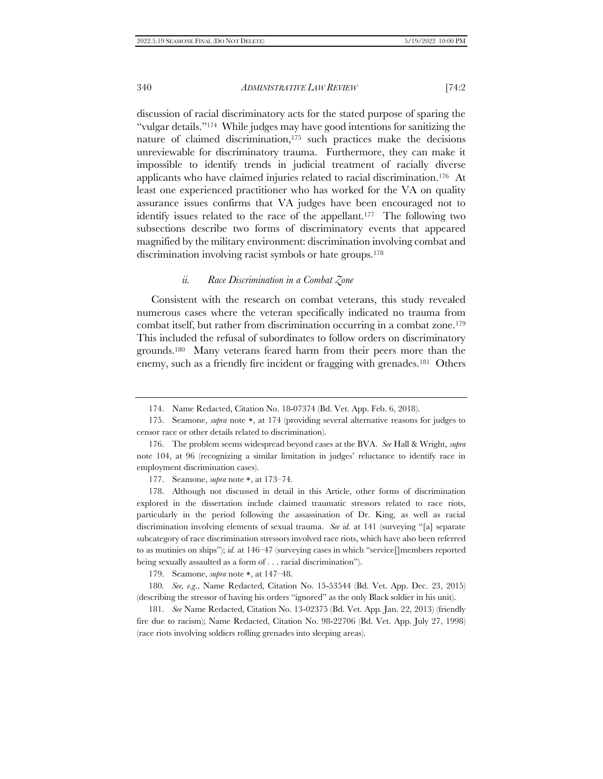discussion of racial discriminatory acts for the stated purpose of sparing the "vulgar details."174 While judges may have good intentions for sanitizing the nature of claimed discrimination,<sup>175</sup> such practices make the decisions unreviewable for discriminatory trauma. Furthermore, they can make it impossible to identify trends in judicial treatment of racially diverse applicants who have claimed injuries related to racial discrimination.176 At least one experienced practitioner who has worked for the VA on quality assurance issues confirms that VA judges have been encouraged not to identify issues related to the race of the appellant.177 The following two subsections describe two forms of discriminatory events that appeared magnified by the military environment: discrimination involving combat and discrimination involving racist symbols or hate groups.<sup>178</sup>

#### *ii. Race Discrimination in a Combat Zone*

Consistent with the research on combat veterans, this study revealed numerous cases where the veteran specifically indicated no trauma from combat itself, but rather from discrimination occurring in a combat zone.<sup>179</sup> This included the refusal of subordinates to follow orders on discriminatory grounds.180 Many veterans feared harm from their peers more than the enemy, such as a friendly fire incident or fragging with grenades.181 Others

177. Seamone, *supra* note \*, at 173-74.

178. Although not discussed in detail in this Article, other forms of discrimination explored in the dissertation include claimed traumatic stressors related to race riots, particularly in the period following the assassination of Dr. King, as well as racial discrimination involving elements of sexual trauma. *See id.* at 141 (surveying "[a] separate subcategory of race discrimination stressors involved race riots, which have also been referred to as mutinies on ships"); *id.* at 146–47 (surveying cases in which "service[]members reported being sexually assaulted as a form of . . . racial discrimination").

179. Seamone, *supra* note \*, at 147-48.

180*. See, e.g*., Name Redacted, Citation No. 15-53544 (Bd. Vet. App. Dec. 23, 2015) (describing the stressor of having his orders "ignored" as the only Black soldier in his unit).

181. *See* Name Redacted, Citation No. 13-02375 (Bd. Vet. App. Jan. 22, 2013) (friendly fire due to racism); Name Redacted, Citation No. 98-22706 (Bd. Vet. App. July 27, 1998) (race riots involving soldiers rolling grenades into sleeping areas).

<sup>174.</sup> Name Redacted, Citation No. 18-07374 (Bd. Vet. App. Feb. 6, 2018).

<sup>175.</sup> Seamone, *supra* note \*, at 174 (providing several alternative reasons for judges to censor race or other details related to discrimination).

<sup>176.</sup> The problem seems widespread beyond cases at the BVA. *See* Hall & Wright, *supra* note [104](#page-19-1), at 96 (recognizing a similar limitation in judges' reluctance to identify race in employment discrimination cases).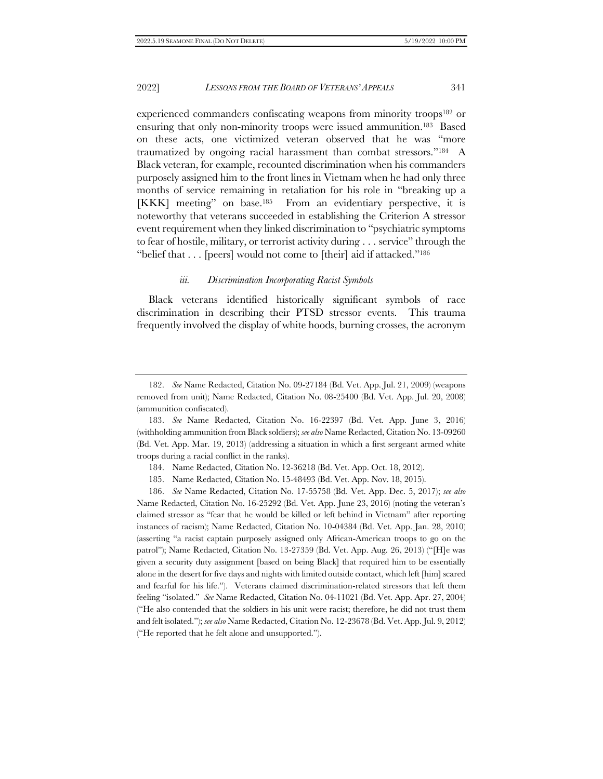experienced commanders confiscating weapons from minority troops<sup>182</sup> or ensuring that only non-minority troops were issued ammunition. <sup>183</sup> Based on these acts, one victimized veteran observed that he was "more traumatized by ongoing racial harassment than combat stressors."184 A Black veteran, for example, recounted discrimination when his commanders purposely assigned him to the front lines in Vietnam when he had only three months of service remaining in retaliation for his role in "breaking up a [KKK] meeting" on base.185 From an evidentiary perspective, it is noteworthy that veterans succeeded in establishing the Criterion A stressor event requirement when they linked discrimination to "psychiatric symptoms to fear of hostile, military, or terrorist activity during . . . service" through the "belief that . . . [peers] would not come to [their] aid if attacked."<sup>186</sup>

### *iii. Discrimination Incorporating Racist Symbols*

Black veterans identified historically significant symbols of race discrimination in describing their PTSD stressor events. This trauma frequently involved the display of white hoods, burning crosses, the acronym

<sup>182.</sup> *See* Name Redacted, Citation No. 09-27184 (Bd. Vet. App. Jul. 21, 2009) (weapons removed from unit); Name Redacted, Citation No. 08-25400 (Bd. Vet. App. Jul. 20, 2008) (ammunition confiscated).

<sup>183.</sup> *See* Name Redacted, Citation No. 16-22397 (Bd. Vet. App. June 3, 2016) (withholding ammunition from Black soldiers); *see also* Name Redacted, Citation No. 13-09260 (Bd. Vet. App. Mar. 19, 2013) (addressing a situation in which a first sergeant armed white troops during a racial conflict in the ranks).

<sup>184.</sup> Name Redacted, Citation No. 12-36218 (Bd. Vet. App. Oct. 18, 2012).

<sup>185.</sup> Name Redacted, Citation No. 15-48493 (Bd. Vet. App. Nov. 18, 2015).

<sup>186.</sup> *See* Name Redacted, Citation No. 17-55758 (Bd. Vet. App. Dec. 5, 2017); *see also* Name Redacted, Citation No. 16-25292 (Bd. Vet. App. June 23, 2016) (noting the veteran's claimed stressor as "fear that he would be killed or left behind in Vietnam" after reporting instances of racism); Name Redacted, Citation No. 10-04384 (Bd. Vet. App. Jan. 28, 2010) (asserting "a racist captain purposely assigned only African-American troops to go on the patrol"); Name Redacted, Citation No. 13-27359 (Bd. Vet. App. Aug. 26, 2013) ("[H]e was given a security duty assignment [based on being Black] that required him to be essentially alone in the desert for five days and nights with limited outside contact, which left [him] scared and fearful for his life."). Veterans claimed discrimination-related stressors that left them feeling "isolated." *See* Name Redacted, Citation No. 04-11021 (Bd. Vet. App. Apr. 27, 2004) ("He also contended that the soldiers in his unit were racist; therefore, he did not trust them and felt isolated."); *see also* Name Redacted, Citation No. 12-23678 (Bd. Vet. App. Jul. 9, 2012) ("He reported that he felt alone and unsupported.").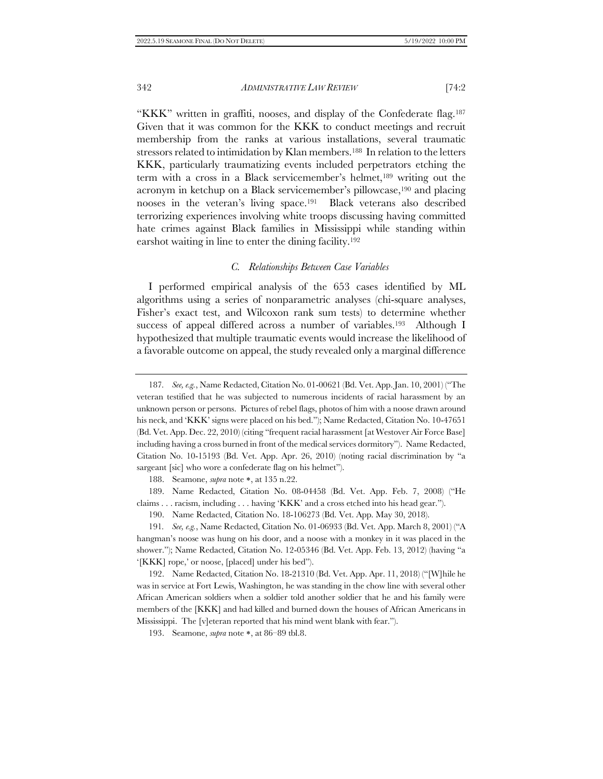"KKK" written in graffiti, nooses, and display of the Confederate flag.<sup>187</sup> Given that it was common for the KKK to conduct meetings and recruit membership from the ranks at various installations, several traumatic stressors related to intimidation by Klan members.<sup>188</sup> In relation to the letters KKK, particularly traumatizing events included perpetrators etching the term with a cross in a Black servicemember's helmet,<sup>189</sup> writing out the acronym in ketchup on a Black servicemember's pillowcase,<sup>190</sup> and placing nooses in the veteran's living space.191 Black veterans also described terrorizing experiences involving white troops discussing having committed hate crimes against Black families in Mississippi while standing within earshot waiting in line to enter the dining facility.<sup>192</sup>

# *C. Relationships Between Case Variables*

I performed empirical analysis of the 653 cases identified by ML algorithms using a series of nonparametric analyses (chi-square analyses, Fisher's exact test, and Wilcoxon rank sum tests) to determine whether success of appeal differed across a number of variables.193 Although I hypothesized that multiple traumatic events would increase the likelihood of a favorable outcome on appeal, the study revealed only a marginal difference

188. Seamone, *supra* note \*, at 135 n.22.

189. Name Redacted, Citation No. 08-04458 (Bd. Vet. App. Feb. 7, 2008) ("He claims . . . racism, including . . . having 'KKK' and a cross etched into his head gear.").

190. Name Redacted, Citation No. 18-106273 (Bd. Vet. App. May 30, 2018).

191*. See, e.g.*, Name Redacted, Citation No. 01-06933 (Bd. Vet. App. March 8, 2001) ("A hangman's noose was hung on his door, and a noose with a monkey in it was placed in the shower."); Name Redacted, Citation No. 12-05346 (Bd. Vet. App. Feb. 13, 2012) (having "a '[KKK] rope,' or noose, [placed] under his bed").

192. Name Redacted, Citation No. 18-21310 (Bd. Vet. App. Apr. 11, 2018) ("[W]hile he was in service at Fort Lewis, Washington, he was standing in the chow line with several other African American soldiers when a soldier told another soldier that he and his family were members of the [KKK] and had killed and burned down the houses of African Americans in Mississippi. The [v]eteran reported that his mind went blank with fear.").

193. Seamone, *supra* note \*, at 86–89 tbl.8.

<sup>187</sup>*. See, e.g.*, Name Redacted, Citation No. 01-00621 (Bd. Vet. App. Jan. 10, 2001) ("The veteran testified that he was subjected to numerous incidents of racial harassment by an unknown person or persons. Pictures of rebel flags, photos of him with a noose drawn around his neck, and 'KKK' signs were placed on his bed."); Name Redacted, Citation No. 10-47651 (Bd. Vet. App. Dec. 22, 2010) (citing "frequent racial harassment [at Westover Air Force Base] including having a cross burned in front of the medical services dormitory"). Name Redacted, Citation No. 10-15193 (Bd. Vet. App. Apr. 26, 2010) (noting racial discrimination by "a sargeant [sic] who wore a confederate flag on his helmet").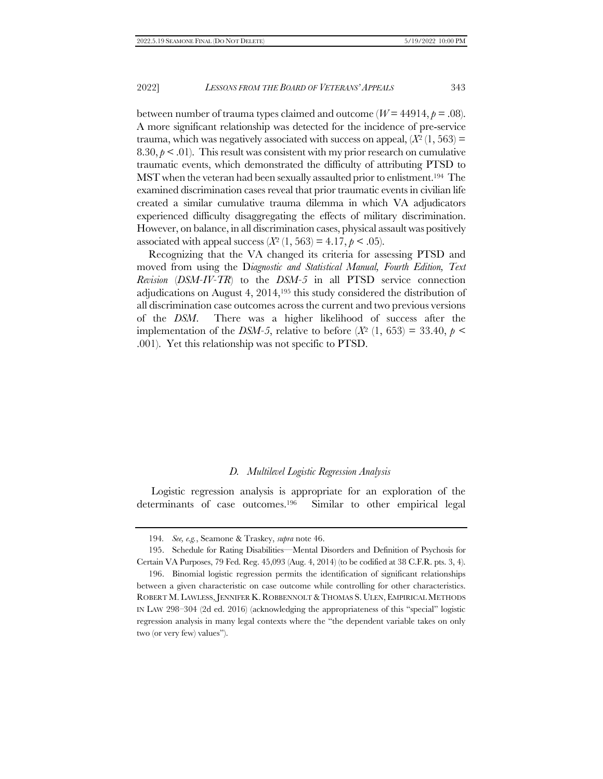<span id="page-34-0"></span>between number of trauma types claimed and outcome ( $W = 44914$ ,  $p = .08$ ). A more significant relationship was detected for the incidence of pre-service trauma, which was negatively associated with success on appeal,  $(X<sup>2</sup>(1, 563))$  = 8.30,  $p < 0.01$ ). This result was consistent with my prior research on cumulative traumatic events, which demonstrated the difficulty of attributing PTSD to MST when the veteran had been sexually assaulted prior to enlistment.194 The examined discrimination cases reveal that prior traumatic events in civilian life created a similar cumulative trauma dilemma in which VA adjudicators experienced difficulty disaggregating the effects of military discrimination. However, on balance, in all discrimination cases, physical assault was positively associated with appeal success  $(X^2 (1, 563) = 4.17, p < .05)$ .

Recognizing that the VA changed its criteria for assessing PTSD and moved from using the D*iagnostic and Statistical Manual, Fourth Edition, Text Revision* (*DSM-IV-TR*) to the *DSM-5* in all PTSD service connection adjudications on August 4, 2014,<sup>195</sup> this study considered the distribution of all discrimination case outcomes across the current and two previous versions of the *DSM*. There was a higher likelihood of success after the implementation of the *DSM-5*, relative to before  $(X^2 \ (1, 653) = 33.40, p \leq$ .001). Yet this relationship was not specific to PTSD.

#### *D. Multilevel Logistic Regression Analysis*

Logistic regression analysis is appropriate for an exploration of the determinants of case outcomes.196 Similar to other empirical legal

<sup>194</sup>*. See, e.g.*, Seamone & Traskey, *supra* not[e 46.](#page-10-1)

<sup>195.</sup> Schedule for Rating Disabilities—Mental Disorders and Definition of Psychosis for Certain VA Purposes, 79 Fed. Reg. 45,093 (Aug. 4, 2014) (to be codified at 38 C.F.R. pts. 3, 4).

<sup>196.</sup> Binomial logistic regression permits the identification of significant relationships between a given characteristic on case outcome while controlling for other characteristics. ROBERT M. LAWLESS,JENNIFER K. ROBBENNOLT &THOMAS S. ULEN, EMPIRICAL METHODS IN LAW 298–304 (2d ed. 2016) (acknowledging the appropriateness of this "special" logistic regression analysis in many legal contexts where the "the dependent variable takes on only two (or very few) values").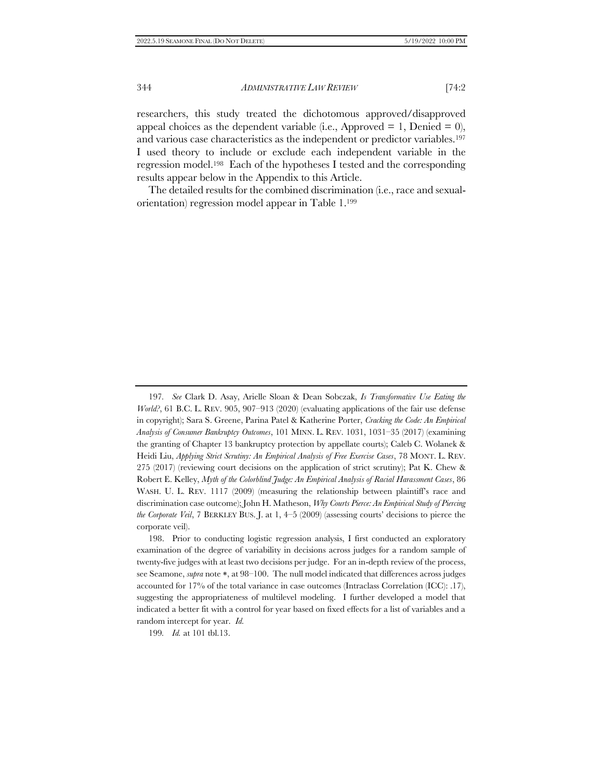researchers, this study treated the dichotomous approved/disapproved appeal choices as the dependent variable (i.e., Approved  $= 1$ , Denied  $= 0$ ), and various case characteristics as the independent or predictor variables.<sup>197</sup> I used theory to include or exclude each independent variable in the regression model.198 Each of the hypotheses I tested and the corresponding results appear below in the Appendix to this Article.

The detailed results for the combined discrimination (i.e., race and sexualorientation) regression model appear in Table 1.<sup>199</sup>

198. Prior to conducting logistic regression analysis, I first conducted an exploratory examination of the degree of variability in decisions across judges for a random sample of twenty-five judges with at least two decisions per judge. For an in-depth review of the process, see Seamone, *supra* note \*, at 98–100. The null model indicated that differences across judges accounted for 17% of the total variance in case outcomes (Intraclass Correlation (ICC): .17), suggesting the appropriateness of multilevel modeling. I further developed a model that indicated a better fit with a control for year based on fixed effects for a list of variables and a random intercept for year. *Id.* 

199*. Id.* at 101 tbl.13.

<sup>197</sup>*. See* Clark D. Asay, Arielle Sloan & Dean Sobczak, *Is Transformative Use Eating the World?*, 61 B.C. L. REV. 905, 907–913 (2020) (evaluating applications of the fair use defense in copyright); Sara S. Greene, Parina Patel & Katherine Porter, *Cracking the Code: An Empirical Analysis of Consumer Bankruptcy Outcomes*, 101 MINN. L. REV. 1031, 1031–35 (2017) (examining the granting of Chapter 13 bankruptcy protection by appellate courts); Caleb C. Wolanek & Heidi Liu, *Applying Strict Scrutiny: An Empirical Analysis of Free Exercise Cases*, 78 MONT. L. REV. 275 (2017) (reviewing court decisions on the application of strict scrutiny); Pat K. Chew & Robert E. Kelley, *Myth of the Colorblind Judge: An Empirical Analysis of Racial Harassment Cases*, 86 WASH. U. L. REV. 1117 (2009) (measuring the relationship between plaintiff's race and discrimination case outcome); John H. Matheson, *Why Courts Pierce: An Empirical Study of Piercing the Corporate Veil*, 7 BERKLEY BUS. J. at 1, 4–5 (2009) (assessing courts' decisions to pierce the corporate veil).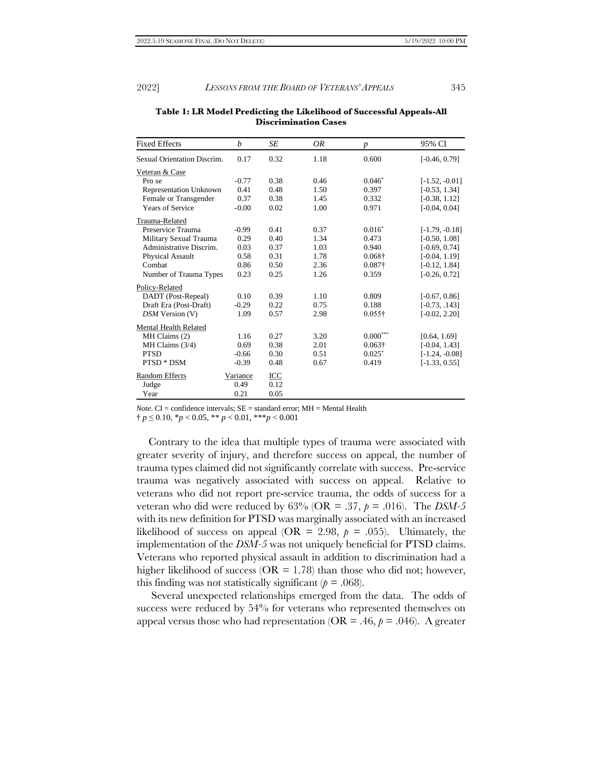| <b>Fixed Effects</b>        | b        | SE   | OR   | $\boldsymbol{p}$ | 95% CI           |
|-----------------------------|----------|------|------|------------------|------------------|
| Sexual Orientation Discrim. | 0.17     | 0.32 | 1.18 | 0.600            | $[-0.46, 0.79]$  |
| Veteran & Case              |          |      |      |                  |                  |
| Pro se                      | $-0.77$  | 0.38 | 0.46 | $0.046*$         | $[-1.52, -0.01]$ |
| Representation Unknown      | 0.41     | 0.48 | 1.50 | 0.397            | $[-0.53, 1.34]$  |
| Female or Transgender       | 0.37     | 0.38 | 1.45 | 0.332            | $[-0.38, 1.12]$  |
| <b>Years of Service</b>     | $-0.00$  | 0.02 | 1.00 | 0.971            | $[-0.04, 0.04]$  |
| Trauma-Related              |          |      |      |                  |                  |
| Preservice Trauma           | $-0.99$  | 0.41 | 0.37 | $0.016*$         | $[-1.79, -0.18]$ |
| Military Sexual Trauma      | 0.29     | 0.40 | 1.34 | 0.473            | $[-0.50, 1.08]$  |
| Administrative Discrim.     | 0.03     | 0.37 | 1.03 | 0.940            | $[-0.69, 0.74]$  |
| Physical Assault            | 0.58     | 0.31 | 1.78 | $0.068\dagger$   | $[-0.04, 1.19]$  |
| Combat                      | 0.86     | 0.50 | 2.36 | $0.087\dagger$   | $[-0.12, 1.84]$  |
| Number of Trauma Types      | 0.23     | 0.25 | 1.26 | 0.359            | $[-0.26, 0.72]$  |
| Policy-Related              |          |      |      |                  |                  |
| DADT (Post-Repeal)          | 0.10     | 0.39 | 1.10 | 0.809            | $[-0.67, 0.86]$  |
| Draft Era (Post-Draft)      | $-0.29$  | 0.22 | 0.75 | 0.188            | $[-0.73, .143]$  |
| DSM Version (V)             | 1.09     | 0.57 | 2.98 | $0.055\dagger$   | $[-0.02, 2.20]$  |
| Mental Health Related       |          |      |      |                  |                  |
| MH Claims (2)               | 1.16     | 0.27 | 3.20 | $0.000***$       | [0.64, 1.69]     |
| MH Claims (3/4)             | 0.69     | 0.38 | 2.01 | $0.063\dagger$   | $[-0.04, 1.43]$  |
| <b>PTSD</b>                 | $-0.66$  | 0.30 | 0.51 | $0.025*$         | $[-1.24, -0.08]$ |
| PTSD * DSM                  | $-0.39$  | 0.48 | 0.67 | 0.419            | $[-1.33, 0.55]$  |
| Random Effects              | Variance | ICC  |      |                  |                  |
| Judge                       | 0.49     | 0.12 |      |                  |                  |
| Year                        | 0.21     | 0.05 |      |                  |                  |

**Table 1: LR Model Predicting the Likelihood of Successful Appeals-All Discrimination Cases** *LR Model Predicting the Likelihood of a Successful Discrimination Appeal – All Cases*

*Note*. CI = confidence intervals; SE = standard error; MH = Mental Health

† *p* ≤ 0.10, \**p* < 0.05, \*\* *p* < 0.01, \*\*\**p* < 0.001

Contrary to the idea that multiple types of trauma were associated with greater severity of injury, and therefore success on appeal, the number of trauma types claimed did not significantly correlate with success. Pre-service trauma was negatively associated with success on appeal. Relative to veterans who did not report pre-service trauma, the odds of success for a veteran who did were reduced by  $63\%$  (OR = .37,  $p = .016$ ). The *DSM-5* with its new definition for PTSD was marginally associated with an increased likelihood of success on appeal (OR = 2.98,  $p = .055$ ). Ultimately, the implementation of the *DSM-5* was not uniquely beneficial for PTSD claims. Veterans who reported physical assault in addition to discrimination had a higher likelihood of success ( $OR = 1.78$ ) than those who did not; however, this finding was not statistically significant  $(p = .068)$ .

Several unexpected relationships emerged from the data. The odds of success were reduced by 54% for veterans who represented themselves on appeal versus those who had representation ( $OR = .46$ ,  $p = .046$ ). A greater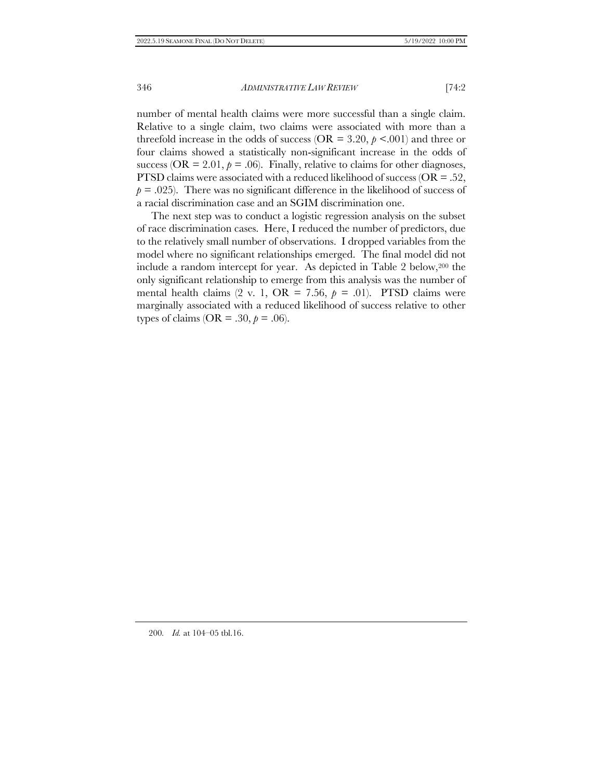number of mental health claims were more successful than a single claim. Relative to a single claim, two claims were associated with more than a threefold increase in the odds of success ( $OR = 3.20$ ,  $p \le 0.001$ ) and three or four claims showed a statistically non-significant increase in the odds of success ( $OR = 2.01$ ,  $p = .06$ ). Finally, relative to claims for other diagnoses, PTSD claims were associated with a reduced likelihood of success ( $OR = .52$ ,  $p = .025$ ). There was no significant difference in the likelihood of success of a racial discrimination case and an SGIM discrimination one.

The next step was to conduct a logistic regression analysis on the subset of race discrimination cases. Here, I reduced the number of predictors, due to the relatively small number of observations. I dropped variables from the model where no significant relationships emerged. The final model did not include a random intercept for year. As depicted in Table 2 below,<sup>200</sup> the only significant relationship to emerge from this analysis was the number of mental health claims  $(2 \text{ v. 1, OR } = 7.56, p = .01)$ . PTSD claims were marginally associated with a reduced likelihood of success relative to other types of claims ( $OR = .30, p = .06$ ).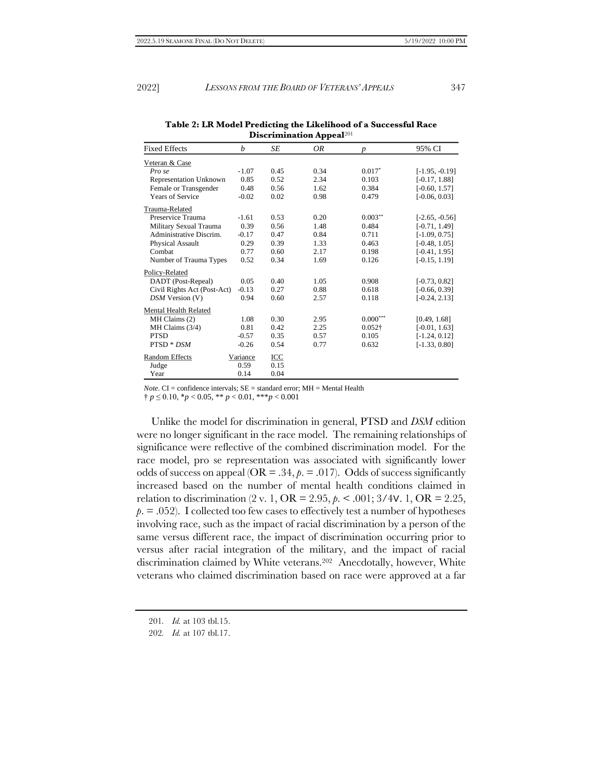|                               | гг               |      |      |                  |                  |  |  |  |
|-------------------------------|------------------|------|------|------------------|------------------|--|--|--|
| <b>Fixed Effects</b>          | $\boldsymbol{b}$ | SE   | OR   | $\boldsymbol{p}$ | 95% CI           |  |  |  |
| Veteran & Case                |                  |      |      |                  |                  |  |  |  |
| Pro se                        | $-1.07$          | 0.45 | 0.34 | $0.017*$         | $[-1.95, -0.19]$ |  |  |  |
| <b>Representation Unknown</b> | 0.85             | 0.52 | 2.34 | 0.103            | $[-0.17, 1.88]$  |  |  |  |
| Female or Transgender         | 0.48             | 0.56 | 1.62 | 0.384            | $[-0.60, 1.57]$  |  |  |  |
| <b>Years of Service</b>       | $-0.02$          | 0.02 | 0.98 | 0.479            | $[-0.06, 0.03]$  |  |  |  |
| Trauma-Related                |                  |      |      |                  |                  |  |  |  |
| Preservice Trauma             | $-1.61$          | 0.53 | 0.20 | $0.003***$       | $[-2.65, -0.56]$ |  |  |  |
| Military Sexual Trauma        | 0.39             | 0.56 | 1.48 | 0.484            | $[-0.71, 1.49]$  |  |  |  |
| Administrative Discrim.       | $-0.17$          | 0.47 | 0.84 | 0.711            | $[-1.09, 0.75]$  |  |  |  |
| Physical Assault              | 0.29             | 0.39 | 1.33 | 0.463            | $[-0.48, 1.05]$  |  |  |  |
| Combat                        | 0.77             | 0.60 | 2.17 | 0.198            | $[-0.41, 1.95]$  |  |  |  |
| Number of Trauma Types        | 0.52             | 0.34 | 1.69 | 0.126            | $[-0.15, 1.19]$  |  |  |  |
| Policy-Related                |                  |      |      |                  |                  |  |  |  |
| DADT (Post-Repeal)            | 0.05             | 0.40 | 1.05 | 0.908            | $[-0.73, 0.82]$  |  |  |  |
| Civil Rights Act (Post-Act)   | $-0.13$          | 0.27 | 0.88 | 0.618            | $[-0.66, 0.39]$  |  |  |  |
| DSM Version (V)               | 0.94             | 0.60 | 2.57 | 0.118            | $[-0.24, 2.13]$  |  |  |  |
| Mental Health Related         |                  |      |      |                  |                  |  |  |  |
| MH Claims (2)                 | 1.08             | 0.30 | 2.95 | $0.000***$       | [0.49, 1.68]     |  |  |  |
| MH Claims (3/4)               | 0.81             | 0.42 | 2.25 | $0.052\dagger$   | $[-0.01, 1.63]$  |  |  |  |
| <b>PTSD</b>                   | $-0.57$          | 0.35 | 0.57 | 0.105            | $[-1.24, 0.12]$  |  |  |  |
| PTSD * DSM                    | $-0.26$          | 0.54 | 0.77 | 0.632            | $[-1.33, 0.80]$  |  |  |  |
| Random Effects                | Variance         | ICC  |      |                  |                  |  |  |  |
| Judge                         | 0.59             | 0.15 |      |                  |                  |  |  |  |
| Year                          | 0.14             | 0.04 |      |                  |                  |  |  |  |

**Table 2: LR Model Predicting the Likelihood of a Successful Race Discrimination Appeal**<sup>201</sup>

*Note*. CI = confidence intervals; SE = standard error; MH = Mental Health

† *p* ≤ 0.10, \**p* < 0.05, \*\* *p* < 0.01, \*\*\**p* < 0.001

Unlike the model for discrimination in general, PTSD and *DSM* edition were no longer significant in the race model. The remaining relationships of significance were reflective of the combined discrimination model. For the race model, pro se representation was associated with significantly lower odds of success on appeal ( $OR = .34$ ,  $p = .017$ ). Odds of success significantly increased based on the number of mental health conditions claimed in relation to discrimination (2 v. 1, OR = 2.95, *p*. < .001; 3/4∨. 1, OR = 2.25,  $p = 0.052$ . I collected too few cases to effectively test a number of hypotheses involving race, such as the impact of racial discrimination by a person of the same versus different race, the impact of discrimination occurring prior to versus after racial integration of the military, and the impact of racial discrimination claimed by White veterans.202 Anecdotally, however, White veterans who claimed discrimination based on race were approved at a far

<sup>201</sup>*. Id.* at 103 tbl.15.

<sup>202</sup>*. Id.* at 107 tbl.17.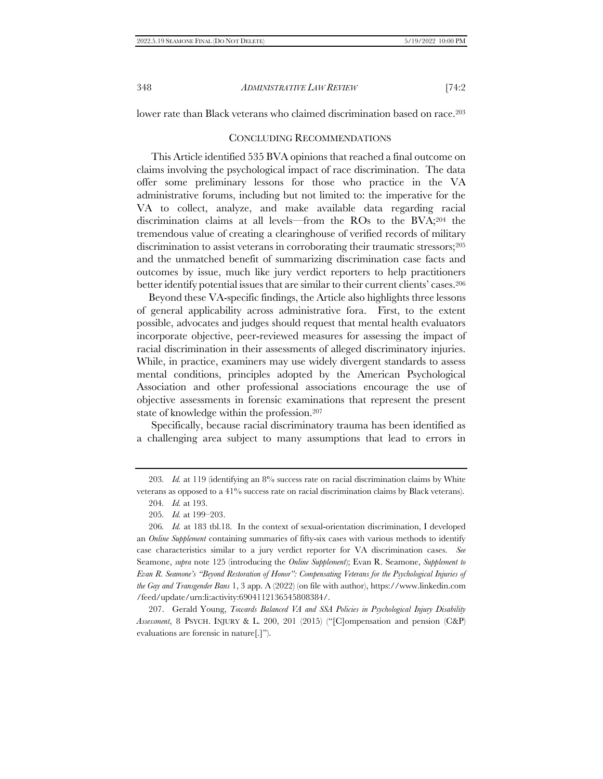<span id="page-39-0"></span>lower rate than Black veterans who claimed discrimination based on race.<sup>203</sup>

# <span id="page-39-1"></span>CONCLUDING RECOMMENDATIONS

This Article identified 535 BVA opinions that reached a final outcome on claims involving the psychological impact of race discrimination. The data offer some preliminary lessons for those who practice in the VA administrative forums, including but not limited to: the imperative for the VA to collect, analyze, and make available data regarding racial discrimination claims at all levels—from the ROs to the BVA;<sup>204</sup> the tremendous value of creating a clearinghouse of verified records of military discrimination to assist veterans in corroborating their traumatic stressors;<sup>205</sup> and the unmatched benefit of summarizing discrimination case facts and outcomes by issue, much like jury verdict reporters to help practitioners better identify potential issues that are similar to their current clients' cases.<sup>206</sup>

Beyond these VA-specific findings, the Article also highlights three lessons of general applicability across administrative fora. First, to the extent possible, advocates and judges should request that mental health evaluators incorporate objective, peer-reviewed measures for assessing the impact of racial discrimination in their assessments of alleged discriminatory injuries. While, in practice, examiners may use widely divergent standards to assess mental conditions, principles adopted by the American Psychological Association and other professional associations encourage the use of objective assessments in forensic examinations that represent the present state of knowledge within the profession.<sup>207</sup>

Specifically, because racial discriminatory trauma has been identified as a challenging area subject to many assumptions that lead to errors in

207. Gerald Young, *Towards Balanced VA and SSA Policies in Psychological Injury Disability Assessment*, 8 PSYCH. INJURY & L. 200, 201 (2015) ("[C]ompensation and pension (C&P) evaluations are forensic in nature[.]").

<sup>203</sup>*. Id.* at 119 (identifying an 8% success rate on racial discrimination claims by White veterans as opposed to a 41% success rate on racial discrimination claims by Black veterans).

<sup>204</sup>*. Id.* at 193.

<sup>205</sup>*. Id.* at 199–203.

<sup>206</sup>*. Id.* at 183 tbl.18. In the context of sexual-orientation discrimination, I developed an *Online Supplement* containing summaries of fifty-six cases with various methods to identify case characteristics similar to a jury verdict reporter for VA discrimination cases. *See* Seamone, *supra* note [125](#page-25-0) (introducing the *Online Supplement*); Evan R. Seamone, *Supplement to Evan R. Seamone's "Beyond Restoration of Honor": Compensating Veterans for the Psychological Injuries of the Gay and Transgender Bans* 1, 3 app. A (2022) (on file with author), https://www.linkedin.com /feed/update/urn:li:activity:6904112136545808384/.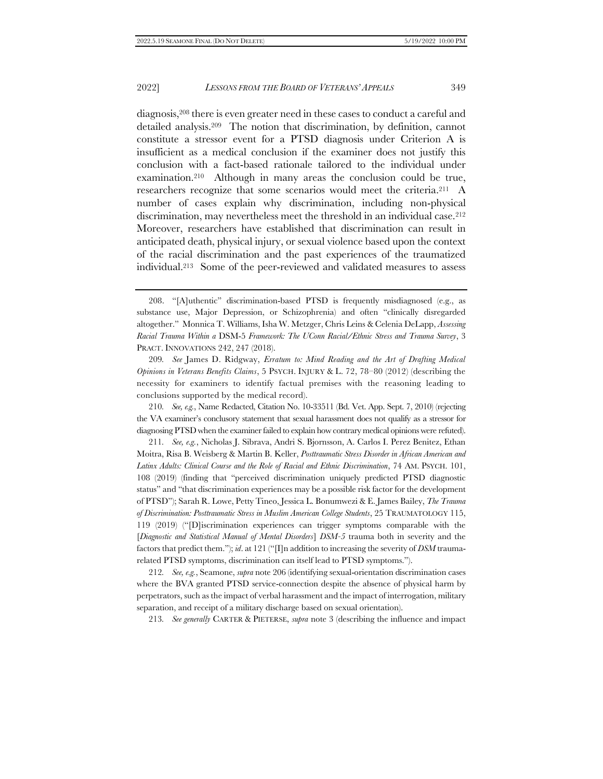<span id="page-40-0"></span>diagnosis,<sup>208</sup> there is even greater need in these cases to conduct a careful and detailed analysis.209 The notion that discrimination, by definition, cannot constitute a stressor event for a PTSD diagnosis under Criterion A is insufficient as a medical conclusion if the examiner does not justify this conclusion with a fact-based rationale tailored to the individual under examination.210 Although in many areas the conclusion could be true, researchers recognize that some scenarios would meet the criteria.211 A number of cases explain why discrimination, including non-physical discrimination, may nevertheless meet the threshold in an individual case.<sup>212</sup> Moreover, researchers have established that discrimination can result in anticipated death, physical injury, or sexual violence based upon the context of the racial discrimination and the past experiences of the traumatized individual.213 Some of the peer-reviewed and validated measures to assess

209*. See* James D. Ridgway, *Erratum to: Mind Reading and the Art of Drafting Medical Opinions in Veterans Benefits Claims*, 5 PSYCH. INJURY & L. 72, 78–80 (2012) (describing the necessity for examiners to identify factual premises with the reasoning leading to conclusions supported by the medical record).

210*. See, e.g.*, Name Redacted, Citation No. 10-33511 (Bd. Vet. App. Sept. 7, 2010) (rejecting the VA examiner's conclusory statement that sexual harassment does not qualify as a stressor for diagnosing PTSD when the examiner failed to explain how contrary medical opinions were refuted).

211*. See, e.g.*, Nicholas J. Sibrava, Andri S. Bjornsson, A. Carlos I. Perez Benitez, Ethan Moitra, Risa B. Weisberg & Martin B. Keller, *Posttraumatic Stress Disorder in African American and Latinx Adults: Clinical Course and the Role of Racial and Ethnic Discrimination*, 74 AM. PSYCH. 101, 108 (2019) (finding that "perceived discrimination uniquely predicted PTSD diagnostic status" and "that discrimination experiences may be a possible risk factor for the development of PTSD"); Sarah R. Lowe, Petty Tineo, Jessica L. Bonumwezi & E. James Bailey, *The Trauma of Discrimination: Posttraumatic Stress in Muslim American College Students*, 25 TRAUMATOLOGY 115, 119 (2019) ("[D]iscrimination experiences can trigger symptoms comparable with the [*Diagnostic and Statistical Manual of Mental Disorders*] *DSM-5* trauma both in severity and the factors that predict them."); *id*. at 121 ("[I]n addition to increasing the severity of *DSM* traumarelated PTSD symptoms, discrimination can itself lead to PTSD symptoms.").

212*. See, e.g.*, Seamone, *supra* not[e 206](#page-39-1) (identifying sexual-orientation discrimination cases where the BVA granted PTSD service-connection despite the absence of physical harm by perpetrators, such as the impact of verbal harassment and the impact of interrogation, military separation, and receipt of a military discharge based on sexual orientation).

213*. See generally* CARTER & PIETERSE, *supra* note [3](#page-2-2) (describing the influence and impact

<sup>208.</sup> "[A]uthentic" discrimination-based PTSD is frequently misdiagnosed (e.g., as substance use, Major Depression, or Schizophrenia) and often "clinically disregarded altogether." Monnica T. Williams, Isha W. Metzger, Chris Leins & Celenia DeLapp, *Assessing Racial Trauma Within a* DSM-5 *Framework: The UConn Racial/Ethnic Stress and Trauma Survey*, 3 PRACT. INNOVATIONS 242, 247 (2018).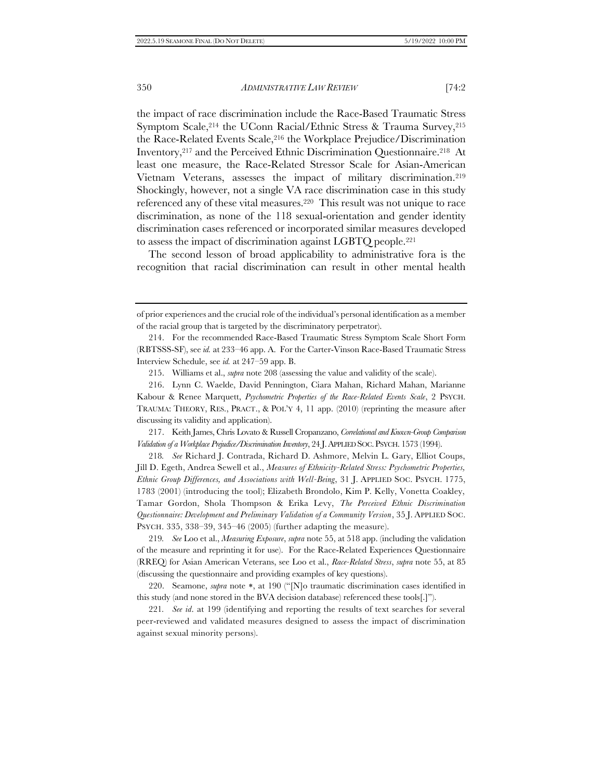the impact of race discrimination include the Race-Based Traumatic Stress Symptom Scale,<sup>214</sup> the UConn Racial/Ethnic Stress & Trauma Survey,<sup>215</sup> the Race-Related Events Scale,<sup>216</sup> the Workplace Prejudice/Discrimination Inventory,<sup>217</sup> and the Perceived Ethnic Discrimination Questionnaire.218 At least one measure, the Race-Related Stressor Scale for Asian-American Vietnam Veterans, assesses the impact of military discrimination.<sup>219</sup> Shockingly, however, not a single VA race discrimination case in this study referenced any of these vital measures. <sup>220</sup> This result was not unique to race discrimination, as none of the 118 sexual-orientation and gender identity discrimination cases referenced or incorporated similar measures developed to assess the impact of discrimination against LGBTQ people.<sup>221</sup>

The second lesson of broad applicability to administrative fora is the recognition that racial discrimination can result in other mental health

217. Keith James, Chris Lovato & Russell Cropanzano, *Correlational and Known-Group Comparison Validation of a Workplace Prejudice/Discrimination Inventory*, 24 J.APPLIED SOC.PSYCH. 1573 (1994).

218*. See* Richard J. Contrada, Richard D. Ashmore, Melvin L. Gary, Elliot Coups, Jill D. Egeth, Andrea Sewell et al., *Measures of Ethnicity-Related Stress: Psychometric Properties, Ethnic Group Differences, and Associations with Well-Being*, 31 J. APPLIED SOC. PSYCH. 1775, 1783 (2001) (introducing the tool); Elizabeth Brondolo, Kim P. Kelly, Vonetta Coakley, Tamar Gordon, Shola Thompson & Erika Levy, *The Perceived Ethnic Discrimination Questionnaire: Development and Preliminary Validation of a Community Version*, 35 J. APPLIED SOC. PSYCH. 335, 338–39, 345–46 (2005) (further adapting the measure).

219*. See* Loo et al., *Measuring Exposure*, *supra* not[e 55,](#page-11-0) at 518 app. (including the validation of the measure and reprinting it for use). For the Race-Related Experiences Questionnaire (RREQ) for Asian American Veterans, see Loo et al., *Race-Related Stress*, *supra* note [55,](#page-11-0) at 85 (discussing the questionnaire and providing examples of key questions).

220. Seamone, *supra* note  $*$ , at 190 ("[N]o traumatic discrimination cases identified in this study (and none stored in the BVA decision database) referenced these tools[.]").

221*. See id*. at 199 (identifying and reporting the results of text searches for several peer-reviewed and validated measures designed to assess the impact of discrimination against sexual minority persons).

of prior experiences and the crucial role of the individual's personal identification as a member of the racial group that is targeted by the discriminatory perpetrator).

<sup>214.</sup> For the recommended Race-Based Traumatic Stress Symptom Scale Short Form (RBTSSS-SF), see *id.* at 233–46 app. A. For the Carter-Vinson Race-Based Traumatic Stress Interview Schedule, see *id.* at 247–59 app. B.

<sup>215.</sup> Williams et al., *supra* note [208](#page-40-0) (assessing the value and validity of the scale).

<sup>216.</sup> Lynn C. Waelde, David Pennington, Ciara Mahan, Richard Mahan, Marianne Kabour & Renee Marquett, *Psychometric Properties of the Race-Related Events Scale*, 2 PSYCH. TRAUMA: THEORY, RES., PRACT., & POL'Y 4, 11 app. (2010) (reprinting the measure after discussing its validity and application).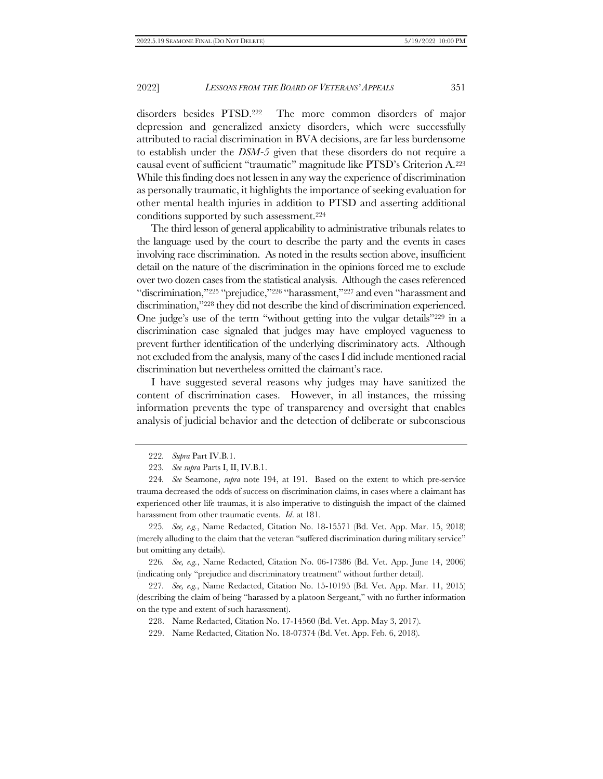disorders besides PTSD.222 The more common disorders of major depression and generalized anxiety disorders, which were successfully attributed to racial discrimination in BVA decisions, are far less burdensome to establish under the *DSM-5* given that these disorders do not require a causal event of sufficient "traumatic" magnitude like PTSD's Criterion A.<sup>223</sup> While this finding does not lessen in any way the experience of discrimination as personally traumatic, it highlights the importance of seeking evaluation for other mental health injuries in addition to PTSD and asserting additional conditions supported by such assessment.<sup>224</sup>

The third lesson of general applicability to administrative tribunals relates to the language used by the court to describe the party and the events in cases involving race discrimination. As noted in the results section above, insufficient detail on the nature of the discrimination in the opinions forced me to exclude over two dozen cases from the statistical analysis. Although the cases referenced "discrimination,"<sup>225</sup> "prejudice,"<sup>226</sup> "harassment,"<sup>227</sup> and even "harassment and discrimination,"<sup>228</sup> they did not describe the kind of discrimination experienced. One judge's use of the term "without getting into the vulgar details"<sup>229</sup> in a discrimination case signaled that judges may have employed vagueness to prevent further identification of the underlying discriminatory acts. Although not excluded from the analysis, many of the cases I did include mentioned racial discrimination but nevertheless omitted the claimant's race.

I have suggested several reasons why judges may have sanitized the content of discrimination cases. However, in all instances, the missing information prevents the type of transparency and oversight that enables analysis of judicial behavior and the detection of deliberate or subconscious

225*. See, e.g.*, Name Redacted, Citation No. 18-15571 (Bd. Vet. App. Mar. 15, 2018) (merely alluding to the claim that the veteran "suffered discrimination during military service" but omitting any details).

226*. See, e.g.*, Name Redacted, Citation No. 06-17386 (Bd. Vet. App. June 14, 2006) (indicating only "prejudice and discriminatory treatment" without further detail).

227*. See, e.g.*, Name Redacted, Citation No. 15-10195 (Bd. Vet. App. Mar. 11, 2015) (describing the claim of being "harassed by a platoon Sergeant," with no further information on the type and extent of such harassment).

228. Name Redacted, Citation No. 17-14560 (Bd. Vet. App. May 3, 2017).

229. Name Redacted, Citation No. 18-07374 (Bd. Vet. App. Feb. 6, 2018).

<sup>222</sup>*. Supra* Par[t IV.](#page-20-0)[B.1.](#page-24-0)

<sup>223</sup>*. See supra* Parts I[, II,](#page-8-1) IV.[B.1.](#page-24-0)

<sup>224</sup>*. See* Seamone, *supra* note [194,](#page-34-0) at 191. Based on the extent to which pre-service trauma decreased the odds of success on discrimination claims, in cases where a claimant has experienced other life traumas, it is also imperative to distinguish the impact of the claimed harassment from other traumatic events. *Id*. at 181.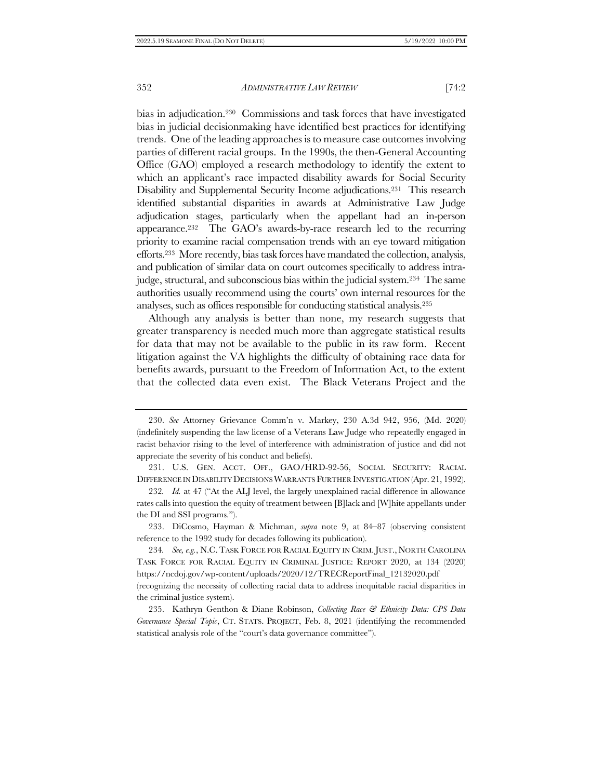bias in adjudication.<sup>230</sup> Commissions and task forces that have investigated bias in judicial decisionmaking have identified best practices for identifying trends. One of the leading approaches is to measure case outcomes involving parties of different racial groups. In the 1990s, the then-General Accounting Office (GAO) employed a research methodology to identify the extent to which an applicant's race impacted disability awards for Social Security Disability and Supplemental Security Income adjudications.231 This research identified substantial disparities in awards at Administrative Law Judge adjudication stages, particularly when the appellant had an in-person appearance.<sup>232</sup> The GAO's awards-by-race research led to the recurring priority to examine racial compensation trends with an eye toward mitigation efforts.233 More recently, bias task forces have mandated the collection, analysis, and publication of similar data on court outcomes specifically to address intrajudge, structural, and subconscious bias within the judicial system.234 The same authorities usually recommend using the courts' own internal resources for the analyses, such as offices responsible for conducting statistical analysis. 235

<span id="page-43-0"></span>Although any analysis is better than none, my research suggests that greater transparency is needed much more than aggregate statistical results for data that may not be available to the public in its raw form. Recent litigation against the VA highlights the difficulty of obtaining race data for benefits awards, pursuant to the Freedom of Information Act, to the extent that the collected data even exist. The Black Veterans Project and the

231. U.S. GEN. ACCT. OFF., GAO/HRD-92-56, SOCIAL SECURITY: RACIAL DIFFERENCE IN DISABILITY DECISIONS WARRANTS FURTHER INVESTIGATION (Apr. 21, 1992).

233. DiCosmo, Hayman & Michman, *supra* note [9,](#page-3-0) at 84–87 (observing consistent reference to the 1992 study for decades following its publication).

234*. See, e.g.*, N.C. TASK FORCE FOR RACIAL EQUITY IN CRIM.JUST., NORTH CAROLINA TASK FORCE FOR RACIAL EQUITY IN CRIMINAL JUSTICE: REPORT 2020, at 134 (2020) https://ncdoj.gov/wp-content/uploads/2020/12/TRECReportFinal\_12132020.pdf (recognizing the necessity of collecting racial data to address inequitable racial disparities in the criminal justice system).

235. Kathryn Genthon & Diane Robinson, *Collecting Race & Ethnicity Data: CPS Data Governance Special Topic*, CT. STATS. PROJECT, Feb. 8, 2021 (identifying the recommended statistical analysis role of the "court's data governance committee").

<sup>230.</sup> *See* Attorney Grievance Comm'n v. Markey, 230 A.3d 942, 956, (Md. 2020) (indefinitely suspending the law license of a Veterans Law Judge who repeatedly engaged in racist behavior rising to the level of interference with administration of justice and did not appreciate the severity of his conduct and beliefs).

<sup>232</sup>*. Id.* at 47 ("At the ALJ level, the largely unexplained racial difference in allowance rates calls into question the equity of treatment between [B]lack and [W]hite appellants under the DI and SSI programs.").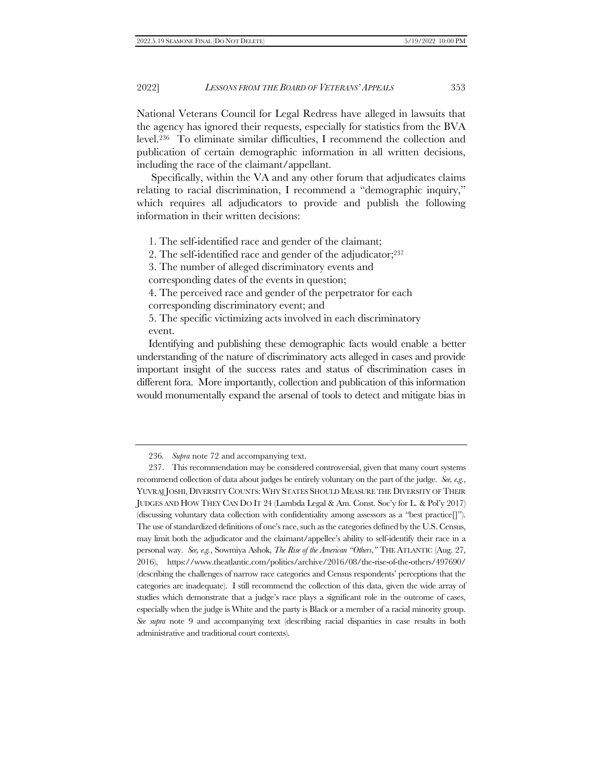National Veterans Council for Legal Redress have alleged in lawsuits that the agency has ignored their requests, especially for statistics from the BVA level.236 To eliminate similar difficulties, I recommend the collection and publication of certain demographic information in all written decisions, including the race of the claimant/appellant.

Specifically, within the VA and any other forum that adjudicates claims relating to racial discrimination, I recommend a "demographic inquiry," which requires all adjudicators to provide and publish the following information in their written decisions:

1. The self-identified race and gender of the claimant;

2. The self-identified race and gender of the adjudicator;<sup>237</sup>

3. The number of alleged discriminatory events and

corresponding dates of the events in question;

4. The perceived race and gender of the perpetrator for each corresponding discriminatory event; and

5. The specific victimizing acts involved in each discriminatory event.

Identifying and publishing these demographic facts would enable a better understanding of the nature of discriminatory acts alleged in cases and provide important insight of the success rates and status of discrimination cases in different fora. More importantly, collection and publication of this information would monumentally expand the arsenal of tools to detect and mitigate bias in

<sup>236</sup>*. Supra* not[e 72](#page-14-1) and accompanying text.

<sup>237.</sup> This recommendation may be considered controversial, given that many court systems recommend collection of data about judges be entirely voluntary on the part of the judge. *See, e.g.*, YUVRAJ JOSHI, DIVERSITY COUNTS: WHY STATES SHOULD MEASURE THE DIVERSITY OF THEIR JUDGES AND HOW THEY CAN DO IT 24 (Lambda Legal & Am. Const. Soc'y for L. & Pol'y 2017) (discussing voluntary data collection with confidentiality among assessors as a "best practice[]"). The use of standardized definitions of one's race, such as the categories defined by the U.S. Census, may limit both the adjudicator and the claimant/appellee's ability to self-identify their race in a personal way. *See, e.g.*, Sowmiya Ashok, *The Rise of the American "Others*,*"* THE ATLANTIC (Aug. 27, 2016), https://www.theatlantic.com/politics/archive/2016/08/the-rise-of-the-others/497690/ (describing the challenges of narrow race categories and Census respondents' perceptions that the categories are inadequate). I still recommend the collection of this data, given the wide array of studies which demonstrate that a judge's race plays a significant role in the outcome of cases, especially when the judge is White and the party is Black or a member of a racial minority group. *See supra* note [9](#page-3-0) and accompanying text (describing racial disparities in case results in both administrative and traditional court contexts).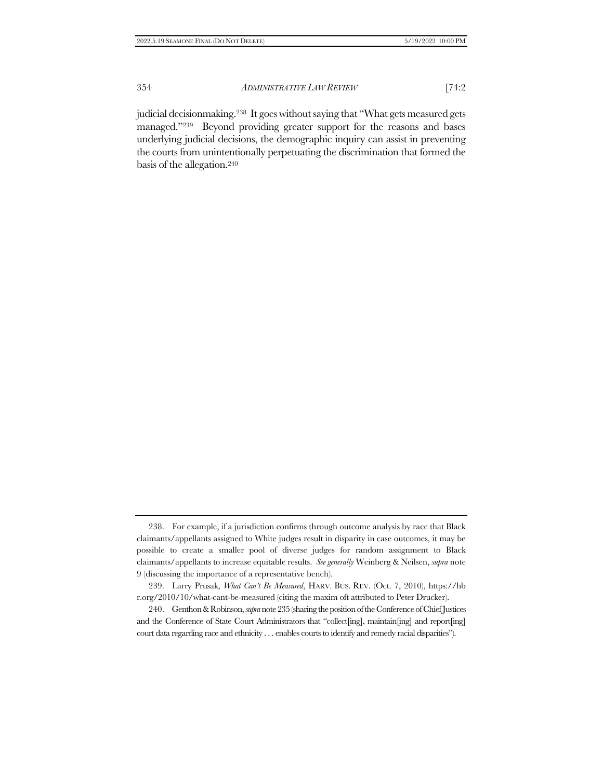judicial decisionmaking.238 It goes without saying that "What gets measured gets managed."239 Beyond providing greater support for the reasons and bases underlying judicial decisions, the demographic inquiry can assist in preventing the courts from unintentionally perpetuating the discrimination that formed the basis of the allegation.<sup>240</sup>

<sup>238.</sup> For example, if a jurisdiction confirms through outcome analysis by race that Black claimants/appellants assigned to White judges result in disparity in case outcomes, it may be possible to create a smaller pool of diverse judges for random assignment to Black claimants/appellants to increase equitable results. *See generally* Weinberg & Neilsen, *supra* note [9](#page-3-0) (discussing the importance of a representative bench).

<sup>239.</sup> Larry Prusak, *What Can't Be Measured*, HARV. BUS. REV. (Oct. 7, 2010), https://hb r.org/2010/10/what-cant-be-measured (citing the maxim oft attributed to Peter Drucker).

<sup>240.</sup> Genthon & Robinson, *supra*not[e 235](#page-43-0) (sharing the position of the Conference of Chief Justices and the Conference of State Court Administrators that "collect[ing], maintain[ing] and report[ing] court data regarding race and ethnicity . . . enables courts to identify and remedy racial disparities").